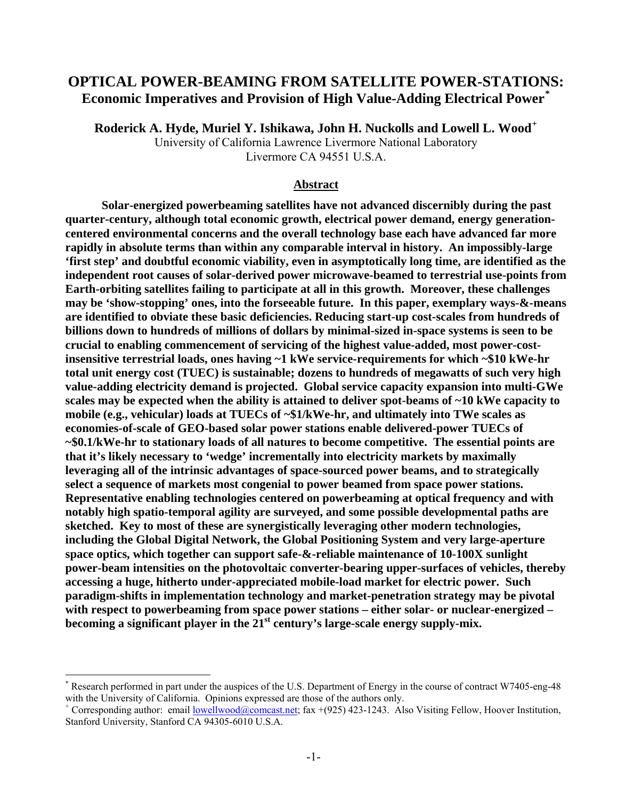## **OPTICAL POWER-BEAMING FROM SATELLITE POWER-STATIONS: Economic Imperatives and Provision of High Value-Adding Electrical Power[\\*](#page-0-0)**

**Roderick A. Hyde, Muriel Y. Ishikawa, John H. Nuckolls and Lowell L. Wood[+](#page-0-1)**

University of California Lawrence Livermore National Laboratory Livermore CA 94551 U.S.A.

## **Abstract**

**Solar-energized powerbeaming satellites have not advanced discernibly during the past quarter-century, although total economic growth, electrical power demand, energy generationcentered environmental concerns and the overall technology base each have advanced far more rapidly in absolute terms than within any comparable interval in history. An impossibly-large 'first step' and doubtful economic viability, even in asymptotically long time, are identified as the independent root causes of solar-derived power microwave-beamed to terrestrial use-points from Earth-orbiting satellites failing to participate at all in this growth. Moreover, these challenges may be 'show-stopping' ones, into the forseeable future. In this paper, exemplary ways-&-means are identified to obviate these basic deficiencies. Reducing start-up cost-scales from hundreds of billions down to hundreds of millions of dollars by minimal-sized in-space systems is seen to be crucial to enabling commencement of servicing of the highest value-added, most power-costinsensitive terrestrial loads, ones having ~1 kWe service-requirements for which ~\$10 kWe-hr total unit energy cost (TUEC) is sustainable; dozens to hundreds of megawatts of such very high value-adding electricity demand is projected. Global service capacity expansion into multi-GWe scales may be expected when the ability is attained to deliver spot-beams of ~10 kWe capacity to mobile (e.g., vehicular) loads at TUECs of ~\$1/kWe-hr, and ultimately into TWe scales as economies-of-scale of GEO-based solar power stations enable delivered-power TUECs of ~\$0.1/kWe-hr to stationary loads of all natures to become competitive. The essential points are that it's likely necessary to 'wedge' incrementally into electricity markets by maximally leveraging all of the intrinsic advantages of space-sourced power beams, and to strategically select a sequence of markets most congenial to power beamed from space power stations. Representative enabling technologies centered on powerbeaming at optical frequency and with notably high spatio-temporal agility are surveyed, and some possible developmental paths are sketched. Key to most of these are synergistically leveraging other modern technologies, including the Global Digital Network, the Global Positioning System and very large-aperture space optics, which together can support safe-&-reliable maintenance of 10-100X sunlight power-beam intensities on the photovoltaic converter-bearing upper-surfaces of vehicles, thereby accessing a huge, hitherto under-appreciated mobile-load market for electric power. Such paradigm-shifts in implementation technology and market-penetration strategy may be pivotal with respect to powerbeaming from space power stations – either solar- or nuclear-energized –**  becoming a significant player in the 21<sup>st</sup> century's large-scale energy supply-mix.

 $\overline{a}$ 

<span id="page-0-0"></span><sup>\*</sup> Research performed in part under the auspices of the U.S. Department of Energy in the course of contract W7405-eng-48 with the University of California. Opinions expressed are those of the authors only.

<span id="page-0-1"></span><sup>&</sup>lt;sup>+</sup> Corresponding author: email <u>lowellwood@comcast.net</u>; fax +(925) 423-1243. Also Visiting Fellow, Hoover Institution, Stanford University, Stanford CA 94305-6010 U.S.A.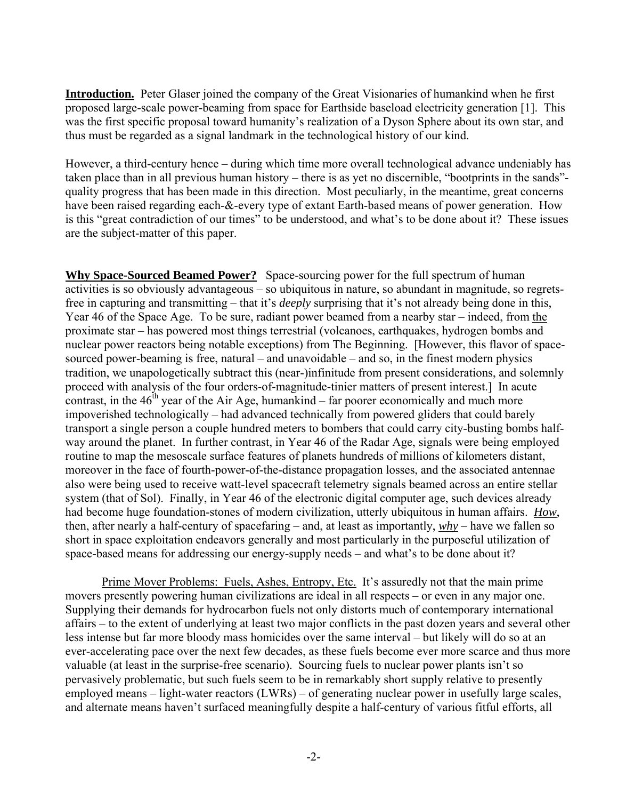**Introduction.** Peter Glaser joined the company of the Great Visionaries of humankind when he first proposed large-scale power-beaming from space for Earthside baseload electricity generation [1]. This was the first specific proposal toward humanity's realization of a Dyson Sphere about its own star, and thus must be regarded as a signal landmark in the technological history of our kind.

However, a third-century hence – during which time more overall technological advance undeniably has taken place than in all previous human history – there is as yet no discernible, "bootprints in the sands" quality progress that has been made in this direction. Most peculiarly, in the meantime, great concerns have been raised regarding each-&-every type of extant Earth-based means of power generation. How is this "great contradiction of our times" to be understood, and what's to be done about it? These issues are the subject-matter of this paper.

**Why Space-Sourced Beamed Power?** Space-sourcing power for the full spectrum of human activities is so obviously advantageous – so ubiquitous in nature, so abundant in magnitude, so regretsfree in capturing and transmitting – that it's *deeply* surprising that it's not already being done in this, Year 46 of the Space Age. To be sure, radiant power beamed from a nearby star – indeed, from the proximate star – has powered most things terrestrial (volcanoes, earthquakes, hydrogen bombs and nuclear power reactors being notable exceptions) from The Beginning. [However, this flavor of spacesourced power-beaming is free, natural – and unavoidable – and so, in the finest modern physics tradition, we unapologetically subtract this (near-)infinitude from present considerations, and solemnly proceed with analysis of the four orders-of-magnitude-tinier matters of present interest.] In acute contrast, in the  $46<sup>th</sup>$  year of the Air Age, humankind – far poorer economically and much more impoverished technologically – had advanced technically from powered gliders that could barely transport a single person a couple hundred meters to bombers that could carry city-busting bombs halfway around the planet. In further contrast, in Year 46 of the Radar Age, signals were being employed routine to map the mesoscale surface features of planets hundreds of millions of kilometers distant, moreover in the face of fourth-power-of-the-distance propagation losses, and the associated antennae also were being used to receive watt-level spacecraft telemetry signals beamed across an entire stellar system (that of Sol). Finally, in Year 46 of the electronic digital computer age, such devices already had become huge foundation-stones of modern civilization, utterly ubiquitous in human affairs. *How*, then, after nearly a half-century of spacefaring – and, at least as importantly, *why* – have we fallen so short in space exploitation endeavors generally and most particularly in the purposeful utilization of space-based means for addressing our energy-supply needs – and what's to be done about it?

Prime Mover Problems: Fuels, Ashes, Entropy, Etc. It's assuredly not that the main prime movers presently powering human civilizations are ideal in all respects – or even in any major one. Supplying their demands for hydrocarbon fuels not only distorts much of contemporary international affairs – to the extent of underlying at least two major conflicts in the past dozen years and several other less intense but far more bloody mass homicides over the same interval – but likely will do so at an ever-accelerating pace over the next few decades, as these fuels become ever more scarce and thus more valuable (at least in the surprise-free scenario). Sourcing fuels to nuclear power plants isn't so pervasively problematic, but such fuels seem to be in remarkably short supply relative to presently employed means – light-water reactors (LWRs) – of generating nuclear power in usefully large scales, and alternate means haven't surfaced meaningfully despite a half-century of various fitful efforts, all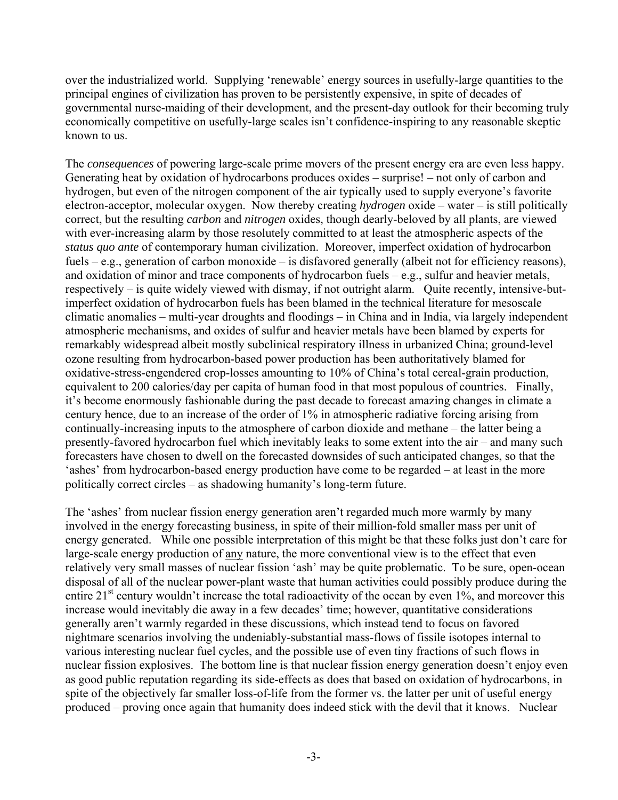over the industrialized world. Supplying 'renewable' energy sources in usefully-large quantities to the principal engines of civilization has proven to be persistently expensive, in spite of decades of governmental nurse-maiding of their development, and the present-day outlook for their becoming truly economically competitive on usefully-large scales isn't confidence-inspiring to any reasonable skeptic known to us.

The *consequences* of powering large-scale prime movers of the present energy era are even less happy. Generating heat by oxidation of hydrocarbons produces oxides – surprise! – not only of carbon and hydrogen, but even of the nitrogen component of the air typically used to supply everyone's favorite electron-acceptor, molecular oxygen. Now thereby creating *hydrogen* oxide – water – is still politically correct, but the resulting *carbon* and *nitrogen* oxides, though dearly-beloved by all plants, are viewed with ever-increasing alarm by those resolutely committed to at least the atmospheric aspects of the *status quo ante* of contemporary human civilization. Moreover, imperfect oxidation of hydrocarbon fuels – e.g., generation of carbon monoxide – is disfavored generally (albeit not for efficiency reasons), and oxidation of minor and trace components of hydrocarbon fuels – e.g., sulfur and heavier metals, respectively – is quite widely viewed with dismay, if not outright alarm. Quite recently, intensive-butimperfect oxidation of hydrocarbon fuels has been blamed in the technical literature for mesoscale climatic anomalies – multi-year droughts and floodings – in China and in India, via largely independent atmospheric mechanisms, and oxides of sulfur and heavier metals have been blamed by experts for remarkably widespread albeit mostly subclinical respiratory illness in urbanized China; ground-level ozone resulting from hydrocarbon-based power production has been authoritatively blamed for oxidative-stress-engendered crop-losses amounting to 10% of China's total cereal-grain production, equivalent to 200 calories/day per capita of human food in that most populous of countries. Finally, it's become enormously fashionable during the past decade to forecast amazing changes in climate a century hence, due to an increase of the order of 1% in atmospheric radiative forcing arising from continually-increasing inputs to the atmosphere of carbon dioxide and methane – the latter being a presently-favored hydrocarbon fuel which inevitably leaks to some extent into the air – and many such forecasters have chosen to dwell on the forecasted downsides of such anticipated changes, so that the 'ashes' from hydrocarbon-based energy production have come to be regarded – at least in the more politically correct circles – as shadowing humanity's long-term future.

The 'ashes' from nuclear fission energy generation aren't regarded much more warmly by many involved in the energy forecasting business, in spite of their million-fold smaller mass per unit of energy generated. While one possible interpretation of this might be that these folks just don't care for large-scale energy production of any nature, the more conventional view is to the effect that even relatively very small masses of nuclear fission 'ash' may be quite problematic. To be sure, open-ocean disposal of all of the nuclear power-plant waste that human activities could possibly produce during the entire  $21<sup>st</sup>$  century wouldn't increase the total radioactivity of the ocean by even  $1\%$ , and moreover this increase would inevitably die away in a few decades' time; however, quantitative considerations generally aren't warmly regarded in these discussions, which instead tend to focus on favored nightmare scenarios involving the undeniably-substantial mass-flows of fissile isotopes internal to various interesting nuclear fuel cycles, and the possible use of even tiny fractions of such flows in nuclear fission explosives. The bottom line is that nuclear fission energy generation doesn't enjoy even as good public reputation regarding its side-effects as does that based on oxidation of hydrocarbons, in spite of the objectively far smaller loss-of-life from the former vs. the latter per unit of useful energy produced – proving once again that humanity does indeed stick with the devil that it knows. Nuclear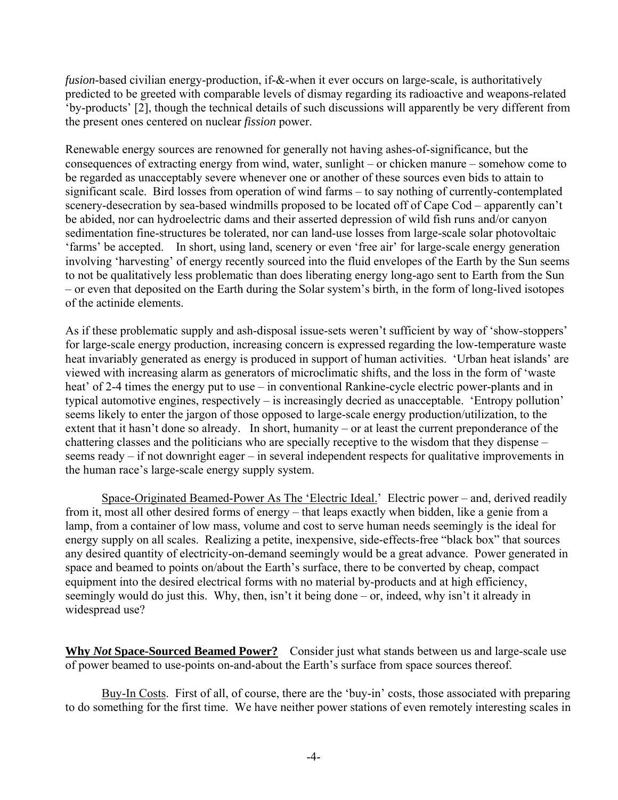*fusion*-based civilian energy-production, if-&-when it ever occurs on large-scale, is authoritatively predicted to be greeted with comparable levels of dismay regarding its radioactive and weapons-related 'by-products' [2], though the technical details of such discussions will apparently be very different from the present ones centered on nuclear *fission* power.

Renewable energy sources are renowned for generally not having ashes-of-significance, but the consequences of extracting energy from wind, water, sunlight – or chicken manure – somehow come to be regarded as unacceptably severe whenever one or another of these sources even bids to attain to significant scale. Bird losses from operation of wind farms – to say nothing of currently-contemplated scenery-desecration by sea-based windmills proposed to be located off of Cape Cod – apparently can't be abided, nor can hydroelectric dams and their asserted depression of wild fish runs and/or canyon sedimentation fine-structures be tolerated, nor can land-use losses from large-scale solar photovoltaic 'farms' be accepted. In short, using land, scenery or even 'free air' for large-scale energy generation involving 'harvesting' of energy recently sourced into the fluid envelopes of the Earth by the Sun seems to not be qualitatively less problematic than does liberating energy long-ago sent to Earth from the Sun – or even that deposited on the Earth during the Solar system's birth, in the form of long-lived isotopes of the actinide elements.

As if these problematic supply and ash-disposal issue-sets weren't sufficient by way of 'show-stoppers' for large-scale energy production, increasing concern is expressed regarding the low-temperature waste heat invariably generated as energy is produced in support of human activities. 'Urban heat islands' are viewed with increasing alarm as generators of microclimatic shifts, and the loss in the form of 'waste heat' of 2-4 times the energy put to use – in conventional Rankine-cycle electric power-plants and in typical automotive engines, respectively – is increasingly decried as unacceptable. 'Entropy pollution' seems likely to enter the jargon of those opposed to large-scale energy production/utilization, to the extent that it hasn't done so already. In short, humanity – or at least the current preponderance of the chattering classes and the politicians who are specially receptive to the wisdom that they dispense – seems ready – if not downright eager – in several independent respects for qualitative improvements in the human race's large-scale energy supply system.

Space-Originated Beamed-Power As The 'Electric Ideal.' Electric power – and, derived readily from it, most all other desired forms of energy – that leaps exactly when bidden, like a genie from a lamp, from a container of low mass, volume and cost to serve human needs seemingly is the ideal for energy supply on all scales. Realizing a petite, inexpensive, side-effects-free "black box" that sources any desired quantity of electricity-on-demand seemingly would be a great advance. Power generated in space and beamed to points on/about the Earth's surface, there to be converted by cheap, compact equipment into the desired electrical forms with no material by-products and at high efficiency, seemingly would do just this. Why, then, isn't it being done – or, indeed, why isn't it already in widespread use?

**Why** *Not* **Space-Sourced Beamed Power?** Consider just what stands between us and large-scale use of power beamed to use-points on-and-about the Earth's surface from space sources thereof.

Buy-In Costs. First of all, of course, there are the 'buy-in' costs, those associated with preparing to do something for the first time. We have neither power stations of even remotely interesting scales in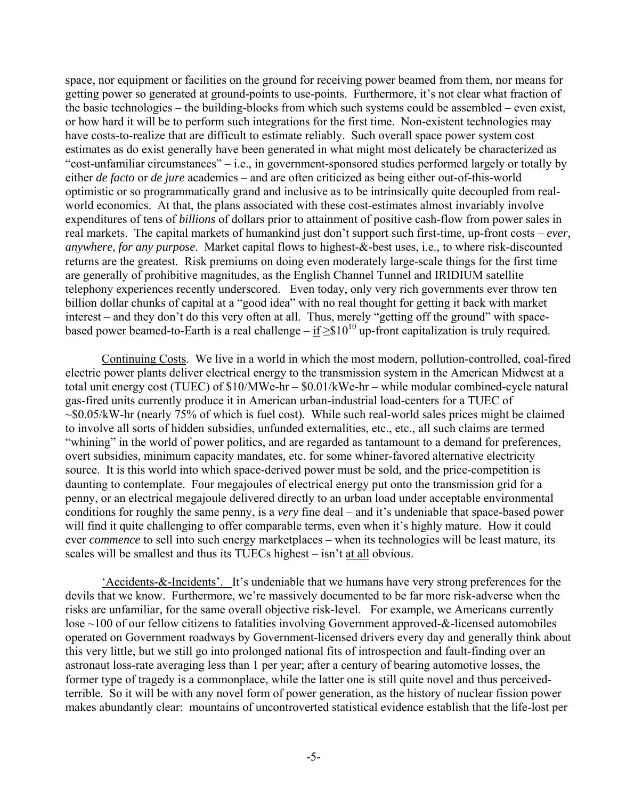space, nor equipment or facilities on the ground for receiving power beamed from them, nor means for getting power so generated at ground-points to use-points. Furthermore, it's not clear what fraction of the basic technologies – the building-blocks from which such systems could be assembled – even exist, or how hard it will be to perform such integrations for the first time. Non-existent technologies may have costs-to-realize that are difficult to estimate reliably. Such overall space power system cost estimates as do exist generally have been generated in what might most delicately be characterized as "cost-unfamiliar circumstances" – i.e., in government-sponsored studies performed largely or totally by either *de facto* or *de jure* academics – and are often criticized as being either out-of-this-world optimistic or so programmatically grand and inclusive as to be intrinsically quite decoupled from realworld economics. At that, the plans associated with these cost-estimates almost invariably involve expenditures of tens of *billions* of dollars prior to attainment of positive cash-flow from power sales in real markets. The capital markets of humankind just don't support such first-time, up-front costs – *ever, anywhere, for any purpose*. Market capital flows to highest-&-best uses, i.e., to where risk-discounted returns are the greatest. Risk premiums on doing even moderately large-scale things for the first time are generally of prohibitive magnitudes, as the English Channel Tunnel and IRIDIUM satellite telephony experiences recently underscored. Even today, only very rich governments ever throw ten billion dollar chunks of capital at a "good idea" with no real thought for getting it back with market interest – and they don't do this very often at all. Thus, merely "getting off the ground" with spacebased power beamed-to-Earth is a real challenge – if  $\geq$ \$10<sup>10</sup> up-front capitalization is truly required.

Continuing Costs. We live in a world in which the most modern, pollution-controlled, coal-fired electric power plants deliver electrical energy to the transmission system in the American Midwest at a total unit energy cost (TUEC) of \$10/MWe-hr – \$0.01/kWe-hr – while modular combined-cycle natural gas-fired units currently produce it in American urban-industrial load-centers for a TUEC of  $\sim$ \$0.05/kW-hr (nearly 75% of which is fuel cost). While such real-world sales prices might be claimed to involve all sorts of hidden subsidies, unfunded externalities, etc., etc., all such claims are termed "whining" in the world of power politics, and are regarded as tantamount to a demand for preferences, overt subsidies, minimum capacity mandates, etc. for some whiner-favored alternative electricity source. It is this world into which space-derived power must be sold, and the price-competition is daunting to contemplate. Four megajoules of electrical energy put onto the transmission grid for a penny, or an electrical megajoule delivered directly to an urban load under acceptable environmental conditions for roughly the same penny, is a *very* fine deal – and it's undeniable that space-based power will find it quite challenging to offer comparable terms, even when it's highly mature. How it could ever *commence* to sell into such energy marketplaces – when its technologies will be least mature, its scales will be smallest and thus its TUECs highest – isn't at all obvious.

'Accidents-&-Incidents'. It's undeniable that we humans have very strong preferences for the devils that we know. Furthermore, we're massively documented to be far more risk-adverse when the risks are unfamiliar, for the same overall objective risk-level. For example, we Americans currently lose ~100 of our fellow citizens to fatalities involving Government approved-&-licensed automobiles operated on Government roadways by Government-licensed drivers every day and generally think about this very little, but we still go into prolonged national fits of introspection and fault-finding over an astronaut loss-rate averaging less than 1 per year; after a century of bearing automotive losses, the former type of tragedy is a commonplace, while the latter one is still quite novel and thus perceivedterrible. So it will be with any novel form of power generation, as the history of nuclear fission power makes abundantly clear: mountains of uncontroverted statistical evidence establish that the life-lost per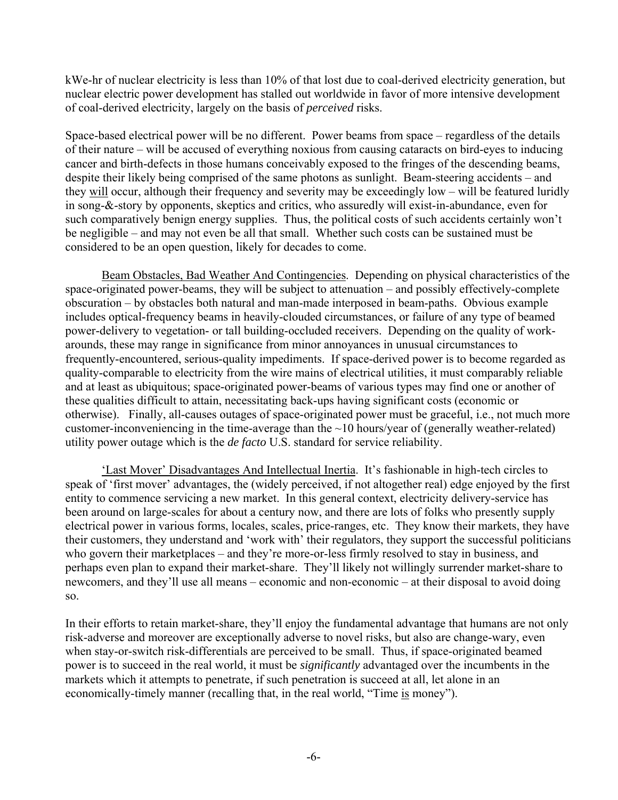kWe-hr of nuclear electricity is less than 10% of that lost due to coal-derived electricity generation, but nuclear electric power development has stalled out worldwide in favor of more intensive development of coal-derived electricity, largely on the basis of *perceived* risks.

Space-based electrical power will be no different. Power beams from space – regardless of the details of their nature – will be accused of everything noxious from causing cataracts on bird-eyes to inducing cancer and birth-defects in those humans conceivably exposed to the fringes of the descending beams, despite their likely being comprised of the same photons as sunlight. Beam-steering accidents – and they will occur, although their frequency and severity may be exceedingly low – will be featured luridly in song-&-story by opponents, skeptics and critics, who assuredly will exist-in-abundance, even for such comparatively benign energy supplies. Thus, the political costs of such accidents certainly won't be negligible – and may not even be all that small. Whether such costs can be sustained must be considered to be an open question, likely for decades to come.

Beam Obstacles, Bad Weather And Contingencies. Depending on physical characteristics of the space-originated power-beams, they will be subject to attenuation – and possibly effectively-complete obscuration – by obstacles both natural and man-made interposed in beam-paths. Obvious example includes optical-frequency beams in heavily-clouded circumstances, or failure of any type of beamed power-delivery to vegetation- or tall building-occluded receivers. Depending on the quality of workarounds, these may range in significance from minor annoyances in unusual circumstances to frequently-encountered, serious-quality impediments. If space-derived power is to become regarded as quality-comparable to electricity from the wire mains of electrical utilities, it must comparably reliable and at least as ubiquitous; space-originated power-beams of various types may find one or another of these qualities difficult to attain, necessitating back-ups having significant costs (economic or otherwise). Finally, all-causes outages of space-originated power must be graceful, i.e., not much more customer-inconveniencing in the time-average than the ~10 hours/year of (generally weather-related) utility power outage which is the *de facto* U.S. standard for service reliability.

'Last Mover' Disadvantages And Intellectual Inertia. It's fashionable in high-tech circles to speak of 'first mover' advantages, the (widely perceived, if not altogether real) edge enjoyed by the first entity to commence servicing a new market. In this general context, electricity delivery-service has been around on large-scales for about a century now, and there are lots of folks who presently supply electrical power in various forms, locales, scales, price-ranges, etc. They know their markets, they have their customers, they understand and 'work with' their regulators, they support the successful politicians who govern their marketplaces – and they're more-or-less firmly resolved to stay in business, and perhaps even plan to expand their market-share. They'll likely not willingly surrender market-share to newcomers, and they'll use all means – economic and non-economic – at their disposal to avoid doing so.

In their efforts to retain market-share, they'll enjoy the fundamental advantage that humans are not only risk-adverse and moreover are exceptionally adverse to novel risks, but also are change-wary, even when stay-or-switch risk-differentials are perceived to be small. Thus, if space-originated beamed power is to succeed in the real world, it must be *significantly* advantaged over the incumbents in the markets which it attempts to penetrate, if such penetration is succeed at all, let alone in an economically-timely manner (recalling that, in the real world, "Time is money").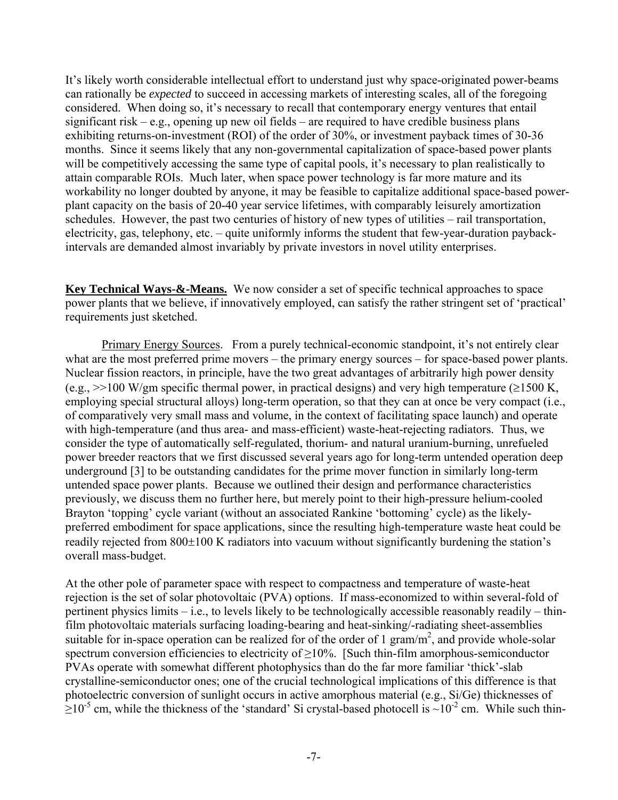It's likely worth considerable intellectual effort to understand just why space-originated power-beams can rationally be *expected* to succeed in accessing markets of interesting scales, all of the foregoing considered. When doing so, it's necessary to recall that contemporary energy ventures that entail significant risk – e.g., opening up new oil fields – are required to have credible business plans exhibiting returns-on-investment (ROI) of the order of 30%, or investment payback times of 30-36 months. Since it seems likely that any non-governmental capitalization of space-based power plants will be competitively accessing the same type of capital pools, it's necessary to plan realistically to attain comparable ROIs. Much later, when space power technology is far more mature and its workability no longer doubted by anyone, it may be feasible to capitalize additional space-based powerplant capacity on the basis of 20-40 year service lifetimes, with comparably leisurely amortization schedules. However, the past two centuries of history of new types of utilities – rail transportation, electricity, gas, telephony, etc. – quite uniformly informs the student that few-year-duration paybackintervals are demanded almost invariably by private investors in novel utility enterprises.

**Key Technical Ways-&-Means.** We now consider a set of specific technical approaches to space power plants that we believe, if innovatively employed, can satisfy the rather stringent set of 'practical' requirements just sketched.

Primary Energy Sources. From a purely technical-economic standpoint, it's not entirely clear what are the most preferred prime movers – the primary energy sources – for space-based power plants. Nuclear fission reactors, in principle, have the two great advantages of arbitrarily high power density (e.g.,  $\gg$ 100 W/gm specific thermal power, in practical designs) and very high temperature ( $\ge$ 1500 K, employing special structural alloys) long-term operation, so that they can at once be very compact (i.e., of comparatively very small mass and volume, in the context of facilitating space launch) and operate with high-temperature (and thus area- and mass-efficient) waste-heat-rejecting radiators. Thus, we consider the type of automatically self-regulated, thorium- and natural uranium-burning, unrefueled power breeder reactors that we first discussed several years ago for long-term untended operation deep underground [3] to be outstanding candidates for the prime mover function in similarly long-term untended space power plants. Because we outlined their design and performance characteristics previously, we discuss them no further here, but merely point to their high-pressure helium-cooled Brayton 'topping' cycle variant (without an associated Rankine 'bottoming' cycle) as the likelypreferred embodiment for space applications, since the resulting high-temperature waste heat could be readily rejected from 800±100 K radiators into vacuum without significantly burdening the station's overall mass-budget.

At the other pole of parameter space with respect to compactness and temperature of waste-heat rejection is the set of solar photovoltaic (PVA) options. If mass-economized to within several-fold of pertinent physics limits – i.e., to levels likely to be technologically accessible reasonably readily – thinfilm photovoltaic materials surfacing loading-bearing and heat-sinking/-radiating sheet-assemblies suitable for in-space operation can be realized for of the order of 1 gram/ $m<sup>2</sup>$ , and provide whole-solar spectrum conversion efficiencies to electricity of  $\geq$ 10%. [Such thin-film amorphous-semiconductor PVAs operate with somewhat different photophysics than do the far more familiar 'thick'-slab crystalline-semiconductor ones; one of the crucial technological implications of this difference is that photoelectric conversion of sunlight occurs in active amorphous material (e.g., Si/Ge) thicknesses of  $\geq$ 10<sup>-5</sup> cm, while the thickness of the 'standard' Si crystal-based photocell is ~10<sup>-2</sup> cm. While such thin-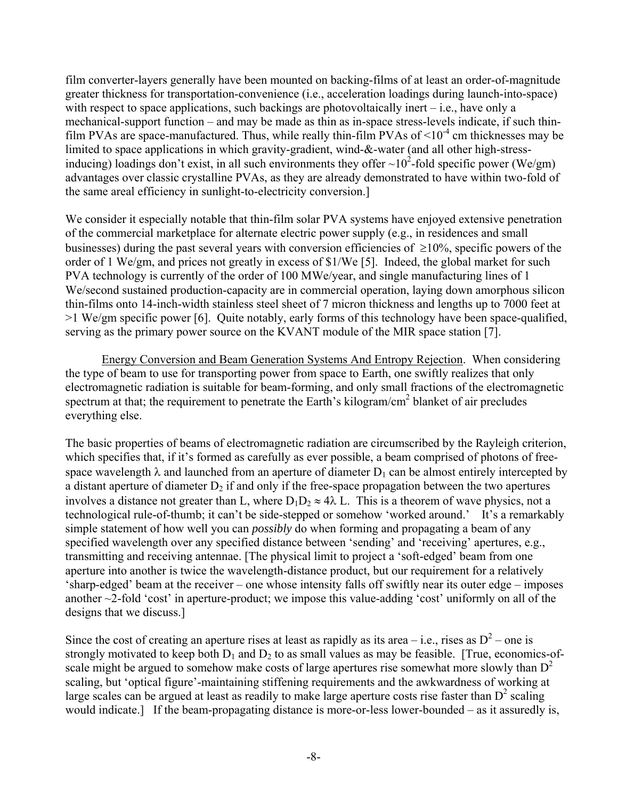film converter-layers generally have been mounted on backing-films of at least an order-of-magnitude greater thickness for transportation-convenience (i.e., acceleration loadings during launch-into-space) with respect to space applications, such backings are photovoltaically inert – i.e., have only a mechanical-support function – and may be made as thin as in-space stress-levels indicate, if such thinfilm PVAs are space-manufactured. Thus, while really thin-film PVAs of  $\leq 10^{-4}$  cm thicknesses may be limited to space applications in which gravity-gradient, wind-&-water (and all other high-stressinducing) loadings don't exist, in all such environments they offer  $\sim 10^2$ -fold specific power (We/gm) advantages over classic crystalline PVAs, as they are already demonstrated to have within two-fold of the same areal efficiency in sunlight-to-electricity conversion.]

We consider it especially notable that thin-film solar PVA systems have enjoyed extensive penetration of the commercial marketplace for alternate electric power supply (e.g., in residences and small businesses) during the past several years with conversion efficiencies of  $\geq 10\%$ , specific powers of the order of 1 We/gm, and prices not greatly in excess of \$1/We [5]. Indeed, the global market for such PVA technology is currently of the order of 100 MWe/year, and single manufacturing lines of 1 We/second sustained production-capacity are in commercial operation, laying down amorphous silicon thin-films onto 14-inch-width stainless steel sheet of 7 micron thickness and lengths up to 7000 feet at >1 We/gm specific power [6]. Quite notably, early forms of this technology have been space-qualified, serving as the primary power source on the KVANT module of the MIR space station [7].

Energy Conversion and Beam Generation Systems And Entropy Rejection. When considering the type of beam to use for transporting power from space to Earth, one swiftly realizes that only electromagnetic radiation is suitable for beam-forming, and only small fractions of the electromagnetic spectrum at that; the requirement to penetrate the Earth's kilogram/ $\text{cm}^2$  blanket of air precludes everything else.

The basic properties of beams of electromagnetic radiation are circumscribed by the Rayleigh criterion, which specifies that, if it's formed as carefully as ever possible, a beam comprised of photons of freespace wavelength  $\lambda$  and launched from an aperture of diameter  $D_1$  can be almost entirely intercepted by a distant aperture of diameter  $D_2$  if and only if the free-space propagation between the two apertures involves a distance not greater than L, where  $D_1D_2 \approx 4\lambda$  L. This is a theorem of wave physics, not a technological rule-of-thumb; it can't be side-stepped or somehow 'worked around.' It's a remarkably simple statement of how well you can *possibly* do when forming and propagating a beam of any specified wavelength over any specified distance between 'sending' and 'receiving' apertures, e.g., transmitting and receiving antennae. [The physical limit to project a 'soft-edged' beam from one aperture into another is twice the wavelength-distance product, but our requirement for a relatively 'sharp-edged' beam at the receiver – one whose intensity falls off swiftly near its outer edge – imposes another ~2-fold 'cost' in aperture-product; we impose this value-adding 'cost' uniformly on all of the designs that we discuss.]

Since the cost of creating an aperture rises at least as rapidly as its area – i.e., rises as  $D^2$  – one is strongly motivated to keep both  $D_1$  and  $D_2$  to as small values as may be feasible. [True, economics-ofscale might be argued to somehow make costs of large apertures rise somewhat more slowly than  $D^2$ scaling, but 'optical figure'-maintaining stiffening requirements and the awkwardness of working at large scales can be argued at least as readily to make large aperture costs rise faster than  $D<sup>2</sup>$  scaling would indicate.] If the beam-propagating distance is more-or-less lower-bounded – as it assuredly is,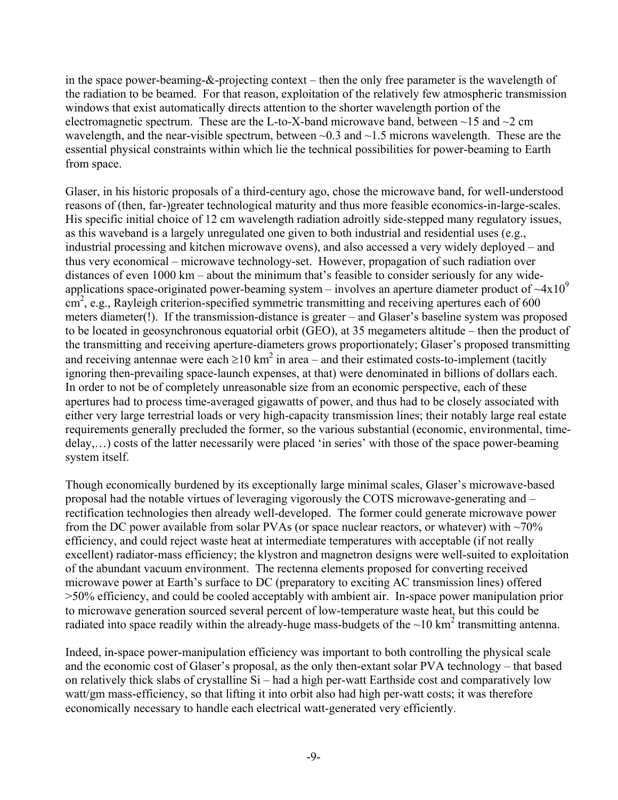in the space power-beaming-&-projecting context – then the only free parameter is the wavelength of the radiation to be beamed. For that reason, exploitation of the relatively few atmospheric transmission windows that exist automatically directs attention to the shorter wavelength portion of the electromagnetic spectrum. These are the L-to-X-band microwave band, between  $\sim$ 15 and  $\sim$ 2 cm wavelength, and the near-visible spectrum, between  $\sim 0.3$  and  $\sim 1.5$  microns wavelength. These are the essential physical constraints within which lie the technical possibilities for power-beaming to Earth from space.

Glaser, in his historic proposals of a third-century ago, chose the microwave band, for well-understood reasons of (then, far-)greater technological maturity and thus more feasible economics-in-large-scales. His specific initial choice of 12 cm wavelength radiation adroitly side-stepped many regulatory issues, as this waveband is a largely unregulated one given to both industrial and residential uses (e.g., industrial processing and kitchen microwave ovens), and also accessed a very widely deployed – and thus very economical – microwave technology-set. However, propagation of such radiation over distances of even 1000 km – about the minimum that's feasible to consider seriously for any wideapplications space-originated power-beaming system – involves an aperture diameter product of  $\sim 4 \times 10^9$ cm<sup>2</sup>, e.g., Rayleigh criterion-specified symmetric transmitting and receiving apertures each of 600 meters diameter(!). If the transmission-distance is greater – and Glaser's baseline system was proposed to be located in geosynchronous equatorial orbit (GEO), at 35 megameters altitude – then the product of the transmitting and receiving aperture-diameters grows proportionately; Glaser's proposed transmitting and receiving antennae were each  $\geq 10$  km<sup>2</sup> in area – and their estimated costs-to-implement (tacitly ignoring then-prevailing space-launch expenses, at that) were denominated in billions of dollars each. In order to not be of completely unreasonable size from an economic perspective, each of these apertures had to process time-averaged gigawatts of power, and thus had to be closely associated with either very large terrestrial loads or very high-capacity transmission lines; their notably large real estate requirements generally precluded the former, so the various substantial (economic, environmental, timedelay,…) costs of the latter necessarily were placed 'in series' with those of the space power-beaming system itself.

Though economically burdened by its exceptionally large minimal scales, Glaser's microwave-based proposal had the notable virtues of leveraging vigorously the COTS microwave-generating and – rectification technologies then already well-developed. The former could generate microwave power from the DC power available from solar PVAs (or space nuclear reactors, or whatever) with  $\sim 70\%$ efficiency, and could reject waste heat at intermediate temperatures with acceptable (if not really excellent) radiator-mass efficiency; the klystron and magnetron designs were well-suited to exploitation of the abundant vacuum environment. The rectenna elements proposed for converting received microwave power at Earth's surface to DC (preparatory to exciting AC transmission lines) offered >50% efficiency, and could be cooled acceptably with ambient air. In-space power manipulation prior to microwave generation sourced several percent of low-temperature waste heat, but this could be radiated into space readily within the already-huge mass-budgets of the  $\sim$ 10 km<sup>2</sup> transmitting antenna.

Indeed, in-space power-manipulation efficiency was important to both controlling the physical scale and the economic cost of Glaser's proposal, as the only then-extant solar PVA technology – that based on relatively thick slabs of crystalline Si – had a high per-watt Earthside cost and comparatively low watt/gm mass-efficiency, so that lifting it into orbit also had high per-watt costs; it was therefore economically necessary to handle each electrical watt-generated very efficiently.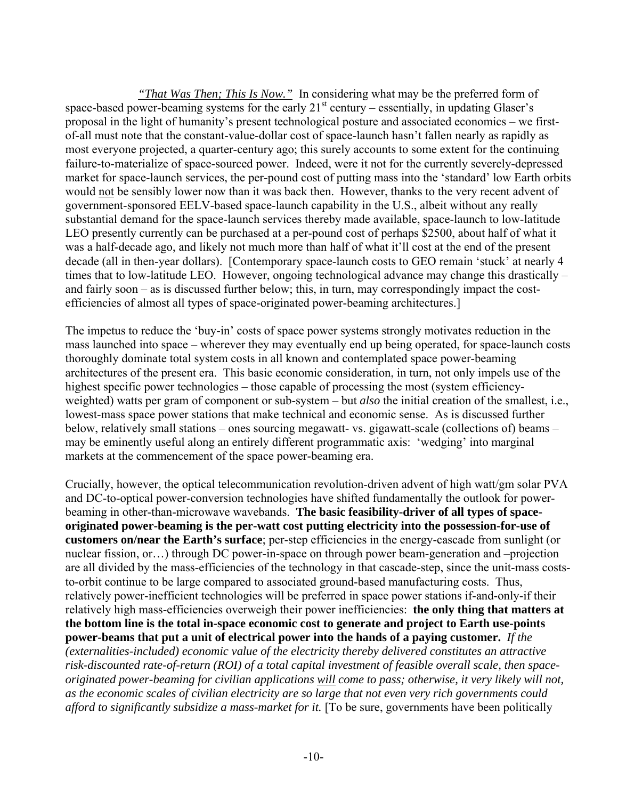*"That Was Then; This Is Now."* In considering what may be the preferred form of space-based power-beaming systems for the early  $21<sup>st</sup>$  century – essentially, in updating Glaser's proposal in the light of humanity's present technological posture and associated economics – we firstof-all must note that the constant-value-dollar cost of space-launch hasn't fallen nearly as rapidly as most everyone projected, a quarter-century ago; this surely accounts to some extent for the continuing failure-to-materialize of space-sourced power. Indeed, were it not for the currently severely-depressed market for space-launch services, the per-pound cost of putting mass into the 'standard' low Earth orbits would not be sensibly lower now than it was back then. However, thanks to the very recent advent of government-sponsored EELV-based space-launch capability in the U.S., albeit without any really substantial demand for the space-launch services thereby made available, space-launch to low-latitude LEO presently currently can be purchased at a per-pound cost of perhaps \$2500, about half of what it was a half-decade ago, and likely not much more than half of what it'll cost at the end of the present decade (all in then-year dollars). [Contemporary space-launch costs to GEO remain 'stuck' at nearly 4 times that to low-latitude LEO. However, ongoing technological advance may change this drastically – and fairly soon – as is discussed further below; this, in turn, may correspondingly impact the costefficiencies of almost all types of space-originated power-beaming architectures.]

The impetus to reduce the 'buy-in' costs of space power systems strongly motivates reduction in the mass launched into space – wherever they may eventually end up being operated, for space-launch costs thoroughly dominate total system costs in all known and contemplated space power-beaming architectures of the present era. This basic economic consideration, in turn, not only impels use of the highest specific power technologies – those capable of processing the most (system efficiencyweighted) watts per gram of component or sub-system – but *also* the initial creation of the smallest, i.e., lowest-mass space power stations that make technical and economic sense. As is discussed further below, relatively small stations – ones sourcing megawatt- vs. gigawatt-scale (collections of) beams – may be eminently useful along an entirely different programmatic axis: 'wedging' into marginal markets at the commencement of the space power-beaming era.

Crucially, however, the optical telecommunication revolution-driven advent of high watt/gm solar PVA and DC-to-optical power-conversion technologies have shifted fundamentally the outlook for powerbeaming in other-than-microwave wavebands. **The basic feasibility-driver of all types of spaceoriginated power-beaming is the per-watt cost putting electricity into the possession-for-use of customers on/near the Earth's surface**; per-step efficiencies in the energy-cascade from sunlight (or nuclear fission, or…) through DC power-in-space on through power beam-generation and –projection are all divided by the mass-efficiencies of the technology in that cascade-step, since the unit-mass coststo-orbit continue to be large compared to associated ground-based manufacturing costs. Thus, relatively power-inefficient technologies will be preferred in space power stations if-and-only-if their relatively high mass-efficiencies overweigh their power inefficiencies: **the only thing that matters at the bottom line is the total in-space economic cost to generate and project to Earth use-points power-beams that put a unit of electrical power into the hands of a paying customer.** *If the (externalities-included) economic value of the electricity thereby delivered constitutes an attractive risk-discounted rate-of-return (ROI) of a total capital investment of feasible overall scale, then spaceoriginated power-beaming for civilian applications will come to pass; otherwise, it very likely will not, as the economic scales of civilian electricity are so large that not even very rich governments could afford to significantly subsidize a mass-market for it.* [To be sure, governments have been politically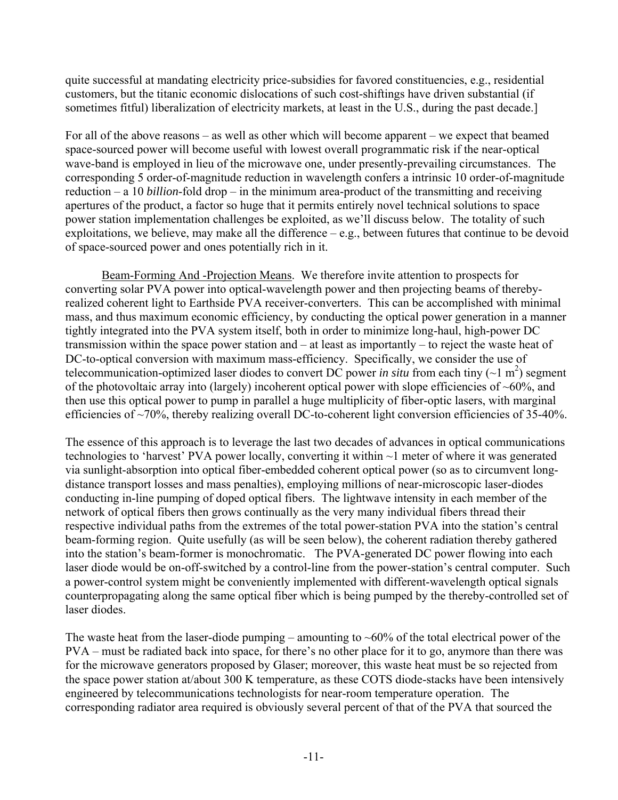quite successful at mandating electricity price-subsidies for favored constituencies, e.g., residential customers, but the titanic economic dislocations of such cost-shiftings have driven substantial (if sometimes fitful) liberalization of electricity markets, at least in the U.S., during the past decade.]

For all of the above reasons – as well as other which will become apparent – we expect that beamed space-sourced power will become useful with lowest overall programmatic risk if the near-optical wave-band is employed in lieu of the microwave one, under presently-prevailing circumstances. The corresponding 5 order-of-magnitude reduction in wavelength confers a intrinsic 10 order-of-magnitude reduction – a 10 *billion*-fold drop – in the minimum area-product of the transmitting and receiving apertures of the product, a factor so huge that it permits entirely novel technical solutions to space power station implementation challenges be exploited, as we'll discuss below. The totality of such exploitations, we believe, may make all the difference – e.g., between futures that continue to be devoid of space-sourced power and ones potentially rich in it.

Beam-Forming And -Projection Means. We therefore invite attention to prospects for converting solar PVA power into optical-wavelength power and then projecting beams of therebyrealized coherent light to Earthside PVA receiver-converters. This can be accomplished with minimal mass, and thus maximum economic efficiency, by conducting the optical power generation in a manner tightly integrated into the PVA system itself, both in order to minimize long-haul, high-power DC transmission within the space power station and – at least as importantly – to reject the waste heat of DC-to-optical conversion with maximum mass-efficiency. Specifically, we consider the use of telecommunication-optimized laser diodes to convert DC power *in situ* from each tiny ( $\sim$ 1 m<sup>2</sup>) segment of the photovoltaic array into (largely) incoherent optical power with slope efficiencies of  $~60\%$ , and then use this optical power to pump in parallel a huge multiplicity of fiber-optic lasers, with marginal efficiencies of ~70%, thereby realizing overall DC-to-coherent light conversion efficiencies of 35-40%.

The essence of this approach is to leverage the last two decades of advances in optical communications technologies to 'harvest' PVA power locally, converting it within ~1 meter of where it was generated via sunlight-absorption into optical fiber-embedded coherent optical power (so as to circumvent longdistance transport losses and mass penalties), employing millions of near-microscopic laser-diodes conducting in-line pumping of doped optical fibers. The lightwave intensity in each member of the network of optical fibers then grows continually as the very many individual fibers thread their respective individual paths from the extremes of the total power-station PVA into the station's central beam-forming region. Quite usefully (as will be seen below), the coherent radiation thereby gathered into the station's beam-former is monochromatic. The PVA-generated DC power flowing into each laser diode would be on-off-switched by a control-line from the power-station's central computer. Such a power-control system might be conveniently implemented with different-wavelength optical signals counterpropagating along the same optical fiber which is being pumped by the thereby-controlled set of laser diodes.

The waste heat from the laser-diode pumping – amounting to  $\sim 60\%$  of the total electrical power of the PVA – must be radiated back into space, for there's no other place for it to go, anymore than there was for the microwave generators proposed by Glaser; moreover, this waste heat must be so rejected from the space power station at/about 300 K temperature, as these COTS diode-stacks have been intensively engineered by telecommunications technologists for near-room temperature operation. The corresponding radiator area required is obviously several percent of that of the PVA that sourced the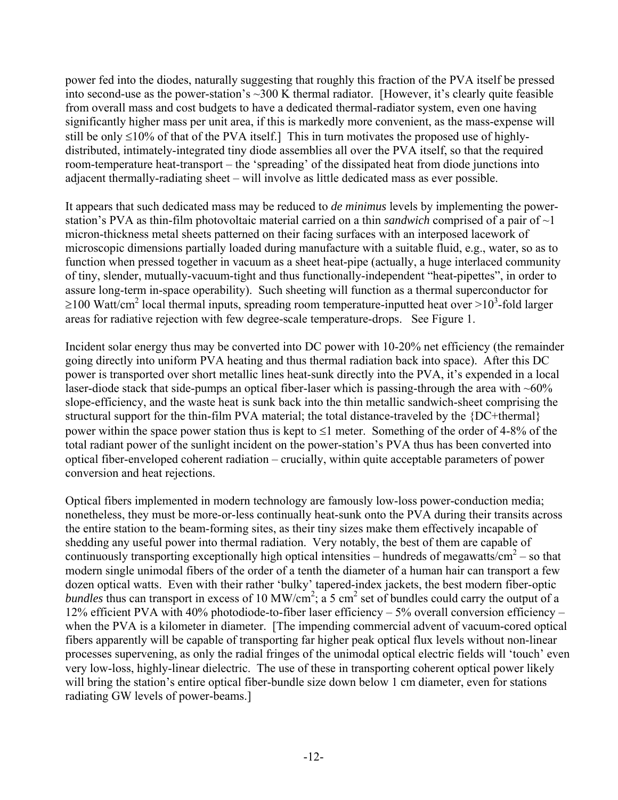power fed into the diodes, naturally suggesting that roughly this fraction of the PVA itself be pressed into second-use as the power-station's ~300 K thermal radiator. [However, it's clearly quite feasible from overall mass and cost budgets to have a dedicated thermal-radiator system, even one having significantly higher mass per unit area, if this is markedly more convenient, as the mass-expense will still be only  $\leq 10\%$  of that of the PVA itself.] This in turn motivates the proposed use of highlydistributed, intimately-integrated tiny diode assemblies all over the PVA itself, so that the required room-temperature heat-transport – the 'spreading' of the dissipated heat from diode junctions into adjacent thermally-radiating sheet – will involve as little dedicated mass as ever possible.

It appears that such dedicated mass may be reduced to *de minimus* levels by implementing the powerstation's PVA as thin-film photovoltaic material carried on a thin *sandwich* comprised of a pair of ~1 micron-thickness metal sheets patterned on their facing surfaces with an interposed lacework of microscopic dimensions partially loaded during manufacture with a suitable fluid, e.g., water, so as to function when pressed together in vacuum as a sheet heat-pipe (actually, a huge interlaced community of tiny, slender, mutually-vacuum-tight and thus functionally-independent "heat-pipettes", in order to assure long-term in-space operability). Such sheeting will function as a thermal superconductor for  $\geq$ 100 Watt/cm<sup>2</sup> local thermal inputs, spreading room temperature-inputted heat over  $>$ 10<sup>3</sup>-fold larger areas for radiative rejection with few degree-scale temperature-drops. See Figure 1.

Incident solar energy thus may be converted into DC power with 10-20% net efficiency (the remainder going directly into uniform PVA heating and thus thermal radiation back into space). After this DC power is transported over short metallic lines heat-sunk directly into the PVA, it's expended in a local laser-diode stack that side-pumps an optical fiber-laser which is passing-through the area with  $~60\%$ slope-efficiency, and the waste heat is sunk back into the thin metallic sandwich-sheet comprising the structural support for the thin-film PVA material; the total distance-traveled by the {DC+thermal} power within the space power station thus is kept to ≤1 meter. Something of the order of 4-8% of the total radiant power of the sunlight incident on the power-station's PVA thus has been converted into optical fiber-enveloped coherent radiation – crucially, within quite acceptable parameters of power conversion and heat rejections.

Optical fibers implemented in modern technology are famously low-loss power-conduction media; nonetheless, they must be more-or-less continually heat-sunk onto the PVA during their transits across the entire station to the beam-forming sites, as their tiny sizes make them effectively incapable of shedding any useful power into thermal radiation. Very notably, the best of them are capable of continuously transporting exceptionally high optical intensities – hundreds of megawatts/ $\text{cm}^2$  – so that modern single unimodal fibers of the order of a tenth the diameter of a human hair can transport a few dozen optical watts. Even with their rather 'bulky' tapered-index jackets, the best modern fiber-optic *bundles* thus can transport in excess of 10 MW/cm<sup>2</sup>; a 5 cm<sup>2</sup> set of bundles could carry the output of a 12% efficient PVA with 40% photodiode-to-fiber laser efficiency – 5% overall conversion efficiency – when the PVA is a kilometer in diameter. [The impending commercial advent of vacuum-cored optical fibers apparently will be capable of transporting far higher peak optical flux levels without non-linear processes supervening, as only the radial fringes of the unimodal optical electric fields will 'touch' even very low-loss, highly-linear dielectric. The use of these in transporting coherent optical power likely will bring the station's entire optical fiber-bundle size down below 1 cm diameter, even for stations radiating GW levels of power-beams.]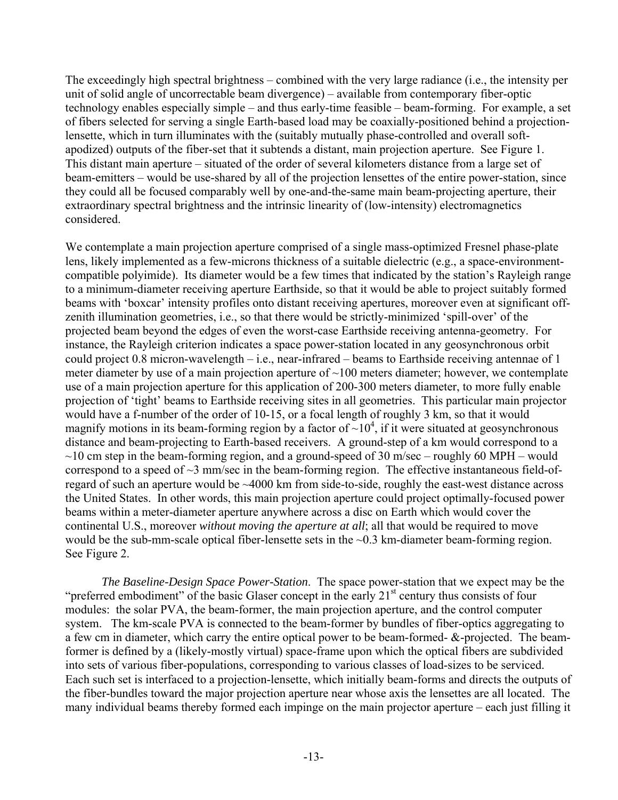The exceedingly high spectral brightness – combined with the very large radiance (i.e., the intensity per unit of solid angle of uncorrectable beam divergence) – available from contemporary fiber-optic technology enables especially simple – and thus early-time feasible – beam-forming. For example, a set of fibers selected for serving a single Earth-based load may be coaxially-positioned behind a projectionlensette, which in turn illuminates with the (suitably mutually phase-controlled and overall softapodized) outputs of the fiber-set that it subtends a distant, main projection aperture. See Figure 1. This distant main aperture – situated of the order of several kilometers distance from a large set of beam-emitters – would be use-shared by all of the projection lensettes of the entire power-station, since they could all be focused comparably well by one-and-the-same main beam-projecting aperture, their extraordinary spectral brightness and the intrinsic linearity of (low-intensity) electromagnetics considered.

We contemplate a main projection aperture comprised of a single mass-optimized Fresnel phase-plate lens, likely implemented as a few-microns thickness of a suitable dielectric (e.g., a space-environmentcompatible polyimide). Its diameter would be a few times that indicated by the station's Rayleigh range to a minimum-diameter receiving aperture Earthside, so that it would be able to project suitably formed beams with 'boxcar' intensity profiles onto distant receiving apertures, moreover even at significant offzenith illumination geometries, i.e., so that there would be strictly-minimized 'spill-over' of the projected beam beyond the edges of even the worst-case Earthside receiving antenna-geometry. For instance, the Rayleigh criterion indicates a space power-station located in any geosynchronous orbit could project 0.8 micron-wavelength – i.e., near-infrared – beams to Earthside receiving antennae of 1 meter diameter by use of a main projection aperture of  $\sim$ 100 meters diameter; however, we contemplate use of a main projection aperture for this application of 200-300 meters diameter, to more fully enable projection of 'tight' beams to Earthside receiving sites in all geometries. This particular main projector would have a f-number of the order of 10-15, or a focal length of roughly 3 km, so that it would magnify motions in its beam-forming region by a factor of  $\sim 10^4$ , if it were situated at geosynchronous distance and beam-projecting to Earth-based receivers. A ground-step of a km would correspond to a  $\sim$ 10 cm step in the beam-forming region, and a ground-speed of 30 m/sec – roughly 60 MPH – would correspond to a speed of ~3 mm/sec in the beam-forming region. The effective instantaneous field-ofregard of such an aperture would be ~4000 km from side-to-side, roughly the east-west distance across the United States. In other words, this main projection aperture could project optimally-focused power beams within a meter-diameter aperture anywhere across a disc on Earth which would cover the continental U.S., moreover *without moving the aperture at all*; all that would be required to move would be the sub-mm-scale optical fiber-lensette sets in the ~0.3 km-diameter beam-forming region. See Figure 2.

*The Baseline-Design Space Power-Station*. The space power-station that we expect may be the "preferred embodiment" of the basic Glaser concept in the early  $21<sup>st</sup>$  century thus consists of four modules: the solar PVA, the beam-former, the main projection aperture, and the control computer system. The km-scale PVA is connected to the beam-former by bundles of fiber-optics aggregating to a few cm in diameter, which carry the entire optical power to be beam-formed- &-projected. The beamformer is defined by a (likely-mostly virtual) space-frame upon which the optical fibers are subdivided into sets of various fiber-populations, corresponding to various classes of load-sizes to be serviced. Each such set is interfaced to a projection-lensette, which initially beam-forms and directs the outputs of the fiber-bundles toward the major projection aperture near whose axis the lensettes are all located. The many individual beams thereby formed each impinge on the main projector aperture – each just filling it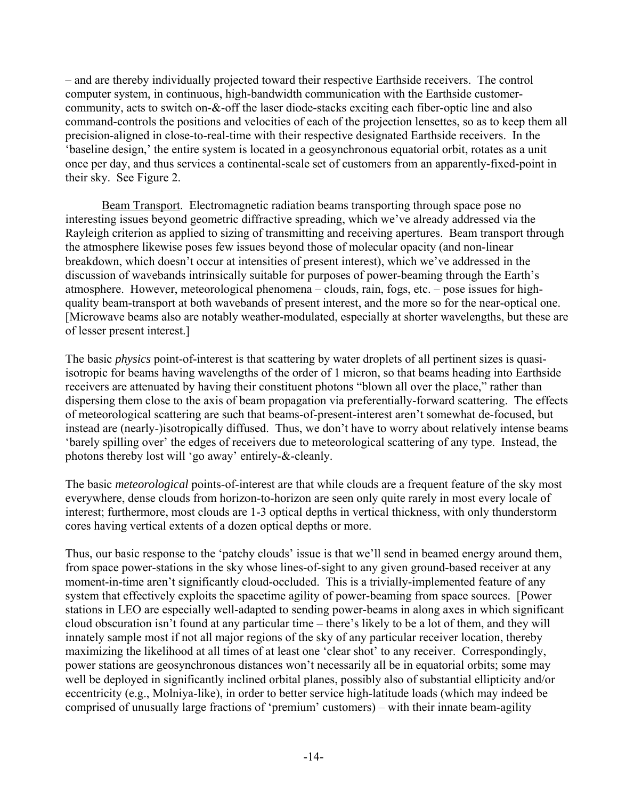– and are thereby individually projected toward their respective Earthside receivers. The control computer system, in continuous, high-bandwidth communication with the Earthside customercommunity, acts to switch on-&-off the laser diode-stacks exciting each fiber-optic line and also command-controls the positions and velocities of each of the projection lensettes, so as to keep them all precision-aligned in close-to-real-time with their respective designated Earthside receivers. In the 'baseline design,' the entire system is located in a geosynchronous equatorial orbit, rotates as a unit once per day, and thus services a continental-scale set of customers from an apparently-fixed-point in their sky. See Figure 2.

Beam Transport. Electromagnetic radiation beams transporting through space pose no interesting issues beyond geometric diffractive spreading, which we've already addressed via the Rayleigh criterion as applied to sizing of transmitting and receiving apertures. Beam transport through the atmosphere likewise poses few issues beyond those of molecular opacity (and non-linear breakdown, which doesn't occur at intensities of present interest), which we've addressed in the discussion of wavebands intrinsically suitable for purposes of power-beaming through the Earth's atmosphere. However, meteorological phenomena – clouds, rain, fogs, etc. – pose issues for highquality beam-transport at both wavebands of present interest, and the more so for the near-optical one. [Microwave beams also are notably weather-modulated, especially at shorter wavelengths, but these are of lesser present interest.]

The basic *physics* point-of-interest is that scattering by water droplets of all pertinent sizes is quasiisotropic for beams having wavelengths of the order of 1 micron, so that beams heading into Earthside receivers are attenuated by having their constituent photons "blown all over the place," rather than dispersing them close to the axis of beam propagation via preferentially-forward scattering. The effects of meteorological scattering are such that beams-of-present-interest aren't somewhat de-focused, but instead are (nearly-)isotropically diffused. Thus, we don't have to worry about relatively intense beams 'barely spilling over' the edges of receivers due to meteorological scattering of any type. Instead, the photons thereby lost will 'go away' entirely-&-cleanly.

The basic *meteorological* points-of-interest are that while clouds are a frequent feature of the sky most everywhere, dense clouds from horizon-to-horizon are seen only quite rarely in most every locale of interest; furthermore, most clouds are 1-3 optical depths in vertical thickness, with only thunderstorm cores having vertical extents of a dozen optical depths or more.

Thus, our basic response to the 'patchy clouds' issue is that we'll send in beamed energy around them, from space power-stations in the sky whose lines-of-sight to any given ground-based receiver at any moment-in-time aren't significantly cloud-occluded. This is a trivially-implemented feature of any system that effectively exploits the spacetime agility of power-beaming from space sources. [Power stations in LEO are especially well-adapted to sending power-beams in along axes in which significant cloud obscuration isn't found at any particular time – there's likely to be a lot of them, and they will innately sample most if not all major regions of the sky of any particular receiver location, thereby maximizing the likelihood at all times of at least one 'clear shot' to any receiver. Correspondingly, power stations are geosynchronous distances won't necessarily all be in equatorial orbits; some may well be deployed in significantly inclined orbital planes, possibly also of substantial ellipticity and/or eccentricity (e.g., Molniya-like), in order to better service high-latitude loads (which may indeed be comprised of unusually large fractions of 'premium' customers) – with their innate beam-agility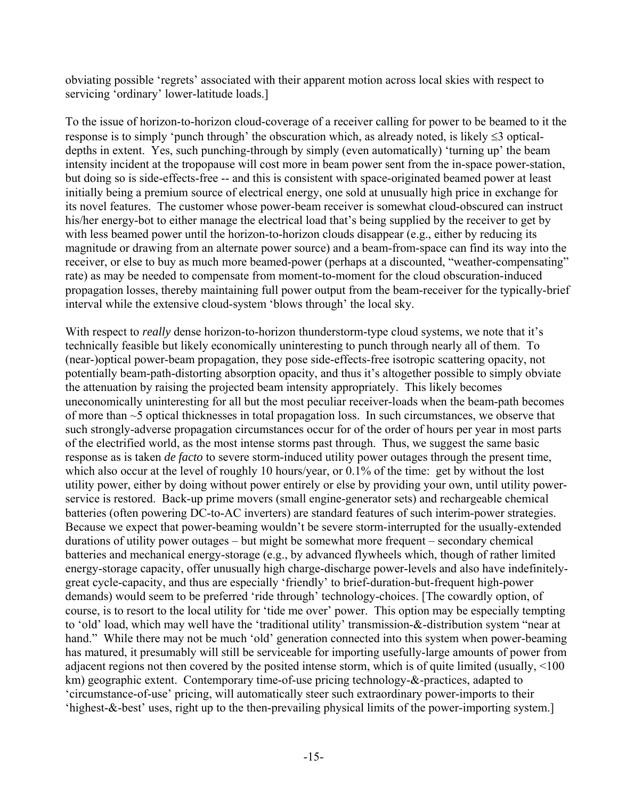obviating possible 'regrets' associated with their apparent motion across local skies with respect to servicing 'ordinary' lower-latitude loads.]

To the issue of horizon-to-horizon cloud-coverage of a receiver calling for power to be beamed to it the response is to simply 'punch through' the obscuration which, as already noted, is likely ≤3 opticaldepths in extent. Yes, such punching-through by simply (even automatically) 'turning up' the beam intensity incident at the tropopause will cost more in beam power sent from the in-space power-station, but doing so is side-effects-free -- and this is consistent with space-originated beamed power at least initially being a premium source of electrical energy, one sold at unusually high price in exchange for its novel features. The customer whose power-beam receiver is somewhat cloud-obscured can instruct his/her energy-bot to either manage the electrical load that's being supplied by the receiver to get by with less beamed power until the horizon-to-horizon clouds disappear (e.g., either by reducing its magnitude or drawing from an alternate power source) and a beam-from-space can find its way into the receiver, or else to buy as much more beamed-power (perhaps at a discounted, "weather-compensating" rate) as may be needed to compensate from moment-to-moment for the cloud obscuration-induced propagation losses, thereby maintaining full power output from the beam-receiver for the typically-brief interval while the extensive cloud-system 'blows through' the local sky.

With respect to *really* dense horizon-to-horizon thunderstorm-type cloud systems, we note that it's technically feasible but likely economically uninteresting to punch through nearly all of them. To (near-)optical power-beam propagation, they pose side-effects-free isotropic scattering opacity, not potentially beam-path-distorting absorption opacity, and thus it's altogether possible to simply obviate the attenuation by raising the projected beam intensity appropriately. This likely becomes uneconomically uninteresting for all but the most peculiar receiver-loads when the beam-path becomes of more than ~5 optical thicknesses in total propagation loss. In such circumstances, we observe that such strongly-adverse propagation circumstances occur for of the order of hours per year in most parts of the electrified world, as the most intense storms past through. Thus, we suggest the same basic response as is taken *de facto* to severe storm-induced utility power outages through the present time, which also occur at the level of roughly 10 hours/year, or 0.1% of the time: get by without the lost utility power, either by doing without power entirely or else by providing your own, until utility powerservice is restored. Back-up prime movers (small engine-generator sets) and rechargeable chemical batteries (often powering DC-to-AC inverters) are standard features of such interim-power strategies. Because we expect that power-beaming wouldn't be severe storm-interrupted for the usually-extended durations of utility power outages – but might be somewhat more frequent – secondary chemical batteries and mechanical energy-storage (e.g., by advanced flywheels which, though of rather limited energy-storage capacity, offer unusually high charge-discharge power-levels and also have indefinitelygreat cycle-capacity, and thus are especially 'friendly' to brief-duration-but-frequent high-power demands) would seem to be preferred 'ride through' technology-choices. [The cowardly option, of course, is to resort to the local utility for 'tide me over' power. This option may be especially tempting to 'old' load, which may well have the 'traditional utility' transmission-&-distribution system "near at hand." While there may not be much 'old' generation connected into this system when power-beaming has matured, it presumably will still be serviceable for importing usefully-large amounts of power from adjacent regions not then covered by the posited intense storm, which is of quite limited (usually, <100 km) geographic extent. Contemporary time-of-use pricing technology-&-practices, adapted to 'circumstance-of-use' pricing, will automatically steer such extraordinary power-imports to their 'highest-&-best' uses, right up to the then-prevailing physical limits of the power-importing system.]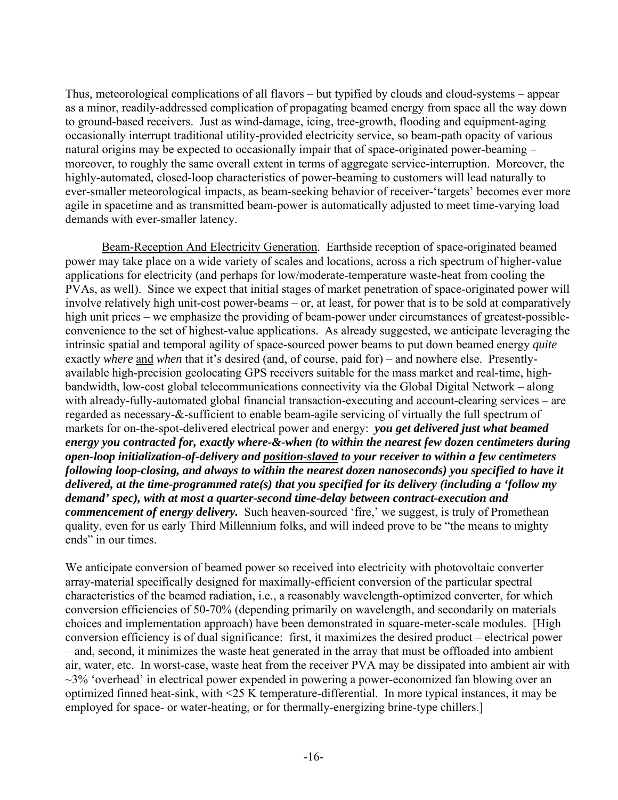Thus, meteorological complications of all flavors – but typified by clouds and cloud-systems – appear as a minor, readily-addressed complication of propagating beamed energy from space all the way down to ground-based receivers. Just as wind-damage, icing, tree-growth, flooding and equipment-aging occasionally interrupt traditional utility-provided electricity service, so beam-path opacity of various natural origins may be expected to occasionally impair that of space-originated power-beaming – moreover, to roughly the same overall extent in terms of aggregate service-interruption. Moreover, the highly-automated, closed-loop characteristics of power-beaming to customers will lead naturally to ever-smaller meteorological impacts, as beam-seeking behavior of receiver-'targets' becomes ever more agile in spacetime and as transmitted beam-power is automatically adjusted to meet time-varying load demands with ever-smaller latency.

Beam-Reception And Electricity Generation. Earthside reception of space-originated beamed power may take place on a wide variety of scales and locations, across a rich spectrum of higher-value applications for electricity (and perhaps for low/moderate-temperature waste-heat from cooling the PVAs, as well). Since we expect that initial stages of market penetration of space-originated power will involve relatively high unit-cost power-beams – or, at least, for power that is to be sold at comparatively high unit prices – we emphasize the providing of beam-power under circumstances of greatest-possibleconvenience to the set of highest-value applications. As already suggested, we anticipate leveraging the intrinsic spatial and temporal agility of space-sourced power beams to put down beamed energy *quite* exactly *where* and *when* that it's desired (and, of course, paid for) – and nowhere else. Presentlyavailable high-precision geolocating GPS receivers suitable for the mass market and real-time, highbandwidth, low-cost global telecommunications connectivity via the Global Digital Network – along with already-fully-automated global financial transaction-executing and account-clearing services – are regarded as necessary-&-sufficient to enable beam-agile servicing of virtually the full spectrum of markets for on-the-spot-delivered electrical power and energy: *you get delivered just what beamed energy you contracted for, exactly where-&-when (to within the nearest few dozen centimeters during open-loop initialization-of-delivery and position-slaved to your receiver to within a few centimeters following loop-closing, and always to within the nearest dozen nanoseconds) you specified to have it delivered, at the time-programmed rate(s) that you specified for its delivery (including a 'follow my demand' spec), with at most a quarter-second time-delay between contract-execution and commencement of energy delivery.* Such heaven-sourced 'fire,' we suggest, is truly of Promethean quality, even for us early Third Millennium folks, and will indeed prove to be "the means to mighty ends" in our times.

We anticipate conversion of beamed power so received into electricity with photovoltaic converter array-material specifically designed for maximally-efficient conversion of the particular spectral characteristics of the beamed radiation, i.e., a reasonably wavelength-optimized converter, for which conversion efficiencies of 50-70% (depending primarily on wavelength, and secondarily on materials choices and implementation approach) have been demonstrated in square-meter-scale modules. [High conversion efficiency is of dual significance: first, it maximizes the desired product – electrical power – and, second, it minimizes the waste heat generated in the array that must be offloaded into ambient air, water, etc. In worst-case, waste heat from the receiver PVA may be dissipated into ambient air with  $\sim$ 3% 'overhead' in electrical power expended in powering a power-economized fan blowing over an optimized finned heat-sink, with <25 K temperature-differential. In more typical instances, it may be employed for space- or water-heating, or for thermally-energizing brine-type chillers.]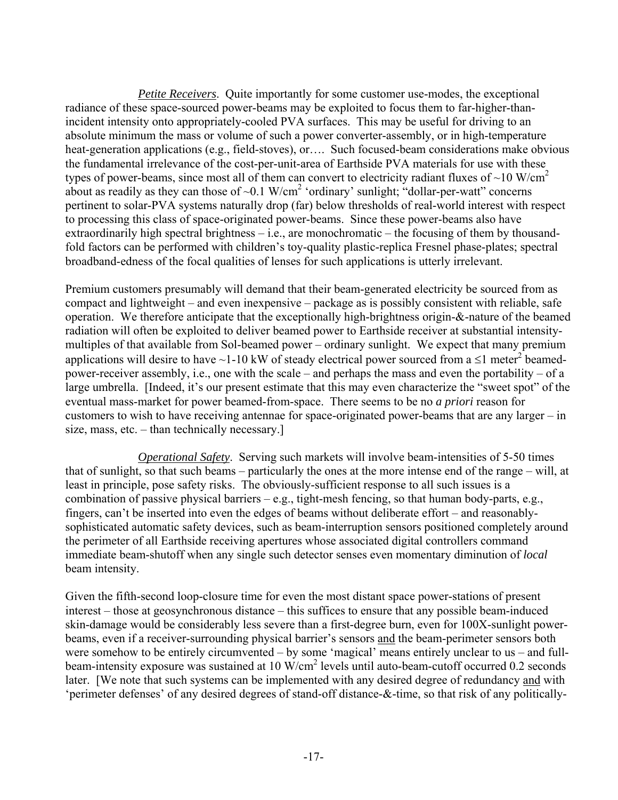*Petite Receivers*. Quite importantly for some customer use-modes, the exceptional radiance of these space-sourced power-beams may be exploited to focus them to far-higher-thanincident intensity onto appropriately-cooled PVA surfaces. This may be useful for driving to an absolute minimum the mass or volume of such a power converter-assembly, or in high-temperature heat-generation applications (e.g., field-stoves), or…. Such focused-beam considerations make obvious the fundamental irrelevance of the cost-per-unit-area of Earthside PVA materials for use with these types of power-beams, since most all of them can convert to electricity radiant fluxes of  $\sim$ 10 W/cm<sup>2</sup> about as readily as they can those of  $\sim 0.1 \text{ W/cm}^2$  'ordinary' sunlight; "dollar-per-watt" concerns pertinent to solar-PVA systems naturally drop (far) below thresholds of real-world interest with respect to processing this class of space-originated power-beams. Since these power-beams also have extraordinarily high spectral brightness – i.e., are monochromatic – the focusing of them by thousandfold factors can be performed with children's toy-quality plastic-replica Fresnel phase-plates; spectral broadband-edness of the focal qualities of lenses for such applications is utterly irrelevant.

Premium customers presumably will demand that their beam-generated electricity be sourced from as compact and lightweight – and even inexpensive – package as is possibly consistent with reliable, safe operation. We therefore anticipate that the exceptionally high-brightness origin-&-nature of the beamed radiation will often be exploited to deliver beamed power to Earthside receiver at substantial intensitymultiples of that available from Sol-beamed power – ordinary sunlight. We expect that many premium applications will desire to have ~1-10 kW of steady electrical power sourced from a  $\leq 1$  meter<sup>2</sup> beamedpower-receiver assembly, i.e., one with the scale – and perhaps the mass and even the portability – of a large umbrella. [Indeed, it's our present estimate that this may even characterize the "sweet spot" of the eventual mass-market for power beamed-from-space. There seems to be no *a priori* reason for customers to wish to have receiving antennae for space-originated power-beams that are any larger – in size, mass, etc. – than technically necessary.]

*Operational Safety*. Serving such markets will involve beam-intensities of 5-50 times that of sunlight, so that such beams – particularly the ones at the more intense end of the range – will, at least in principle, pose safety risks. The obviously-sufficient response to all such issues is a combination of passive physical barriers – e.g., tight-mesh fencing, so that human body-parts, e.g., fingers, can't be inserted into even the edges of beams without deliberate effort – and reasonablysophisticated automatic safety devices, such as beam-interruption sensors positioned completely around the perimeter of all Earthside receiving apertures whose associated digital controllers command immediate beam-shutoff when any single such detector senses even momentary diminution of *local* beam intensity.

Given the fifth-second loop-closure time for even the most distant space power-stations of present interest – those at geosynchronous distance – this suffices to ensure that any possible beam-induced skin-damage would be considerably less severe than a first-degree burn, even for 100X-sunlight powerbeams, even if a receiver-surrounding physical barrier's sensors and the beam-perimeter sensors both were somehow to be entirely circumvented – by some 'magical' means entirely unclear to us – and fullbeam-intensity exposure was sustained at 10 W/cm<sup>2</sup> levels until auto-beam-cutoff occurred 0.2 seconds later. [We note that such systems can be implemented with any desired degree of redundancy and with 'perimeter defenses' of any desired degrees of stand-off distance-&-time, so that risk of any politically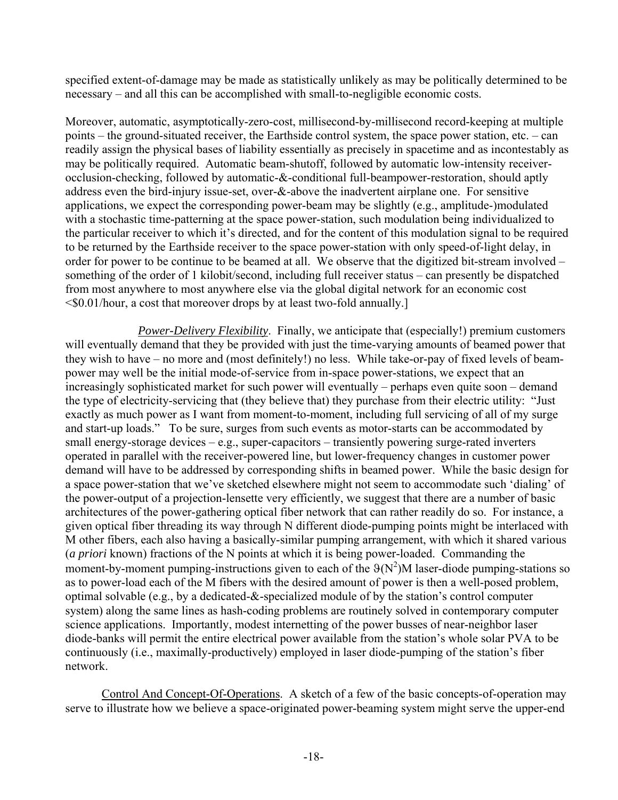specified extent-of-damage may be made as statistically unlikely as may be politically determined to be necessary – and all this can be accomplished with small-to-negligible economic costs.

Moreover, automatic, asymptotically-zero-cost, millisecond-by-millisecond record-keeping at multiple points – the ground-situated receiver, the Earthside control system, the space power station, etc. – can readily assign the physical bases of liability essentially as precisely in spacetime and as incontestably as may be politically required. Automatic beam-shutoff, followed by automatic low-intensity receiverocclusion-checking, followed by automatic-&-conditional full-beampower-restoration, should aptly address even the bird-injury issue-set, over-&-above the inadvertent airplane one. For sensitive applications, we expect the corresponding power-beam may be slightly (e.g., amplitude-)modulated with a stochastic time-patterning at the space power-station, such modulation being individualized to the particular receiver to which it's directed, and for the content of this modulation signal to be required to be returned by the Earthside receiver to the space power-station with only speed-of-light delay, in order for power to be continue to be beamed at all. We observe that the digitized bit-stream involved – something of the order of 1 kilobit/second, including full receiver status – can presently be dispatched from most anywhere to most anywhere else via the global digital network for an economic cost <\$0.01/hour, a cost that moreover drops by at least two-fold annually.]

*Power-Delivery Flexibility*. Finally, we anticipate that (especially!) premium customers will eventually demand that they be provided with just the time-varying amounts of beamed power that they wish to have – no more and (most definitely!) no less. While take-or-pay of fixed levels of beampower may well be the initial mode-of-service from in-space power-stations, we expect that an increasingly sophisticated market for such power will eventually – perhaps even quite soon – demand the type of electricity-servicing that (they believe that) they purchase from their electric utility: "Just exactly as much power as I want from moment-to-moment, including full servicing of all of my surge and start-up loads." To be sure, surges from such events as motor-starts can be accommodated by small energy-storage devices – e.g., super-capacitors – transiently powering surge-rated inverters operated in parallel with the receiver-powered line, but lower-frequency changes in customer power demand will have to be addressed by corresponding shifts in beamed power. While the basic design for a space power-station that we've sketched elsewhere might not seem to accommodate such 'dialing' of the power-output of a projection-lensette very efficiently, we suggest that there are a number of basic architectures of the power-gathering optical fiber network that can rather readily do so. For instance, a given optical fiber threading its way through N different diode-pumping points might be interlaced with M other fibers, each also having a basically-similar pumping arrangement, with which it shared various (*a priori* known) fractions of the N points at which it is being power-loaded. Commanding the moment-by-moment pumping-instructions given to each of the  $9(N^2)M$  laser-diode pumping-stations so as to power-load each of the M fibers with the desired amount of power is then a well-posed problem, optimal solvable (e.g., by a dedicated-&-specialized module of by the station's control computer system) along the same lines as hash-coding problems are routinely solved in contemporary computer science applications. Importantly, modest internetting of the power busses of near-neighbor laser diode-banks will permit the entire electrical power available from the station's whole solar PVA to be continuously (i.e., maximally-productively) employed in laser diode-pumping of the station's fiber network.

Control And Concept-Of-Operations. A sketch of a few of the basic concepts-of-operation may serve to illustrate how we believe a space-originated power-beaming system might serve the upper-end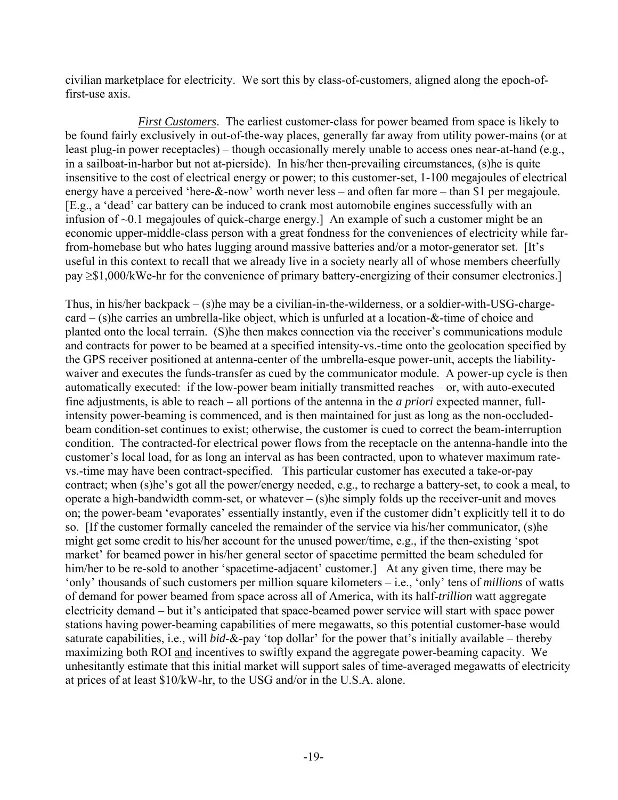civilian marketplace for electricity. We sort this by class-of-customers, aligned along the epoch-offirst-use axis.

*First Customers*. The earliest customer-class for power beamed from space is likely to be found fairly exclusively in out-of-the-way places, generally far away from utility power-mains (or at least plug-in power receptacles) – though occasionally merely unable to access ones near-at-hand (e.g., in a sailboat-in-harbor but not at-pierside). In his/her then-prevailing circumstances, (s)he is quite insensitive to the cost of electrical energy or power; to this customer-set, 1-100 megajoules of electrical energy have a perceived 'here-&-now' worth never less – and often far more – than \$1 per megajoule. [E.g., a 'dead' car battery can be induced to crank most automobile engines successfully with an infusion of ~0.1 megajoules of quick-charge energy.] An example of such a customer might be an economic upper-middle-class person with a great fondness for the conveniences of electricity while farfrom-homebase but who hates lugging around massive batteries and/or a motor-generator set. [It's useful in this context to recall that we already live in a society nearly all of whose members cheerfully pay ≥\$1,000/kWe-hr for the convenience of primary battery-energizing of their consumer electronics.]

Thus, in his/her backpack – (s)he may be a civilian-in-the-wilderness, or a soldier-with-USG-chargecard – (s)he carries an umbrella-like object, which is unfurled at a location-&-time of choice and planted onto the local terrain. (S)he then makes connection via the receiver's communications module and contracts for power to be beamed at a specified intensity-vs.-time onto the geolocation specified by the GPS receiver positioned at antenna-center of the umbrella-esque power-unit, accepts the liabilitywaiver and executes the funds-transfer as cued by the communicator module. A power-up cycle is then automatically executed: if the low-power beam initially transmitted reaches – or, with auto-executed fine adjustments, is able to reach – all portions of the antenna in the *a priori* expected manner, fullintensity power-beaming is commenced, and is then maintained for just as long as the non-occludedbeam condition-set continues to exist; otherwise, the customer is cued to correct the beam-interruption condition. The contracted-for electrical power flows from the receptacle on the antenna-handle into the customer's local load, for as long an interval as has been contracted, upon to whatever maximum ratevs.-time may have been contract-specified. This particular customer has executed a take-or-pay contract; when (s)he's got all the power/energy needed, e.g., to recharge a battery-set, to cook a meal, to operate a high-bandwidth comm-set, or whatever – (s)he simply folds up the receiver-unit and moves on; the power-beam 'evaporates' essentially instantly, even if the customer didn't explicitly tell it to do so. [If the customer formally canceled the remainder of the service via his/her communicator, (s)he might get some credit to his/her account for the unused power/time, e.g., if the then-existing 'spot market' for beamed power in his/her general sector of spacetime permitted the beam scheduled for him/her to be re-sold to another 'spacetime-adjacent' customer.] At any given time, there may be 'only' thousands of such customers per million square kilometers – i.e., 'only' tens of *millions* of watts of demand for power beamed from space across all of America, with its half-*trillion* watt aggregate electricity demand – but it's anticipated that space-beamed power service will start with space power stations having power-beaming capabilities of mere megawatts, so this potential customer-base would saturate capabilities, i.e., will *bid*-&-pay 'top dollar' for the power that's initially available – thereby maximizing both ROI and incentives to swiftly expand the aggregate power-beaming capacity. We unhesitantly estimate that this initial market will support sales of time-averaged megawatts of electricity at prices of at least \$10/kW-hr, to the USG and/or in the U.S.A. alone.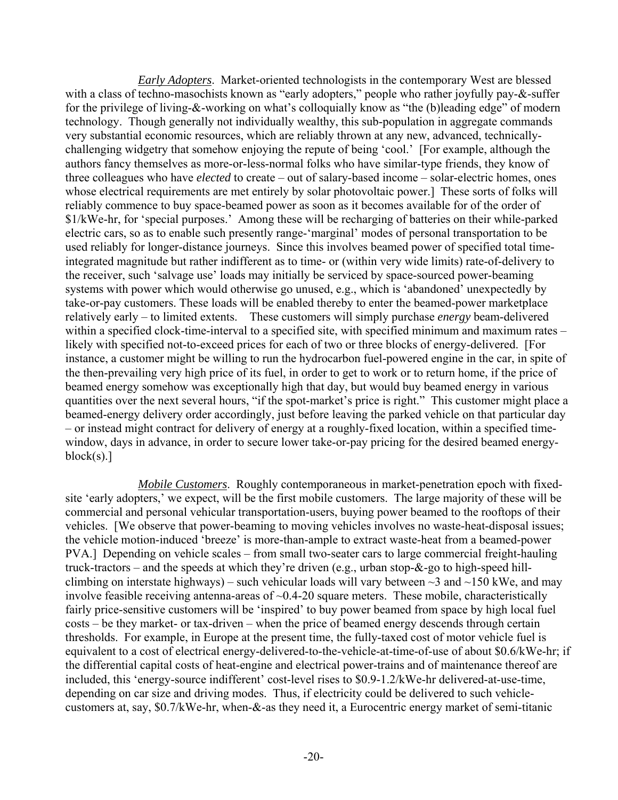*Early Adopters*. Market-oriented technologists in the contemporary West are blessed with a class of techno-masochists known as "early adopters," people who rather joyfully pay-&-suffer for the privilege of living-&-working on what's colloquially know as "the (b)leading edge" of modern technology. Though generally not individually wealthy, this sub-population in aggregate commands very substantial economic resources, which are reliably thrown at any new, advanced, technicallychallenging widgetry that somehow enjoying the repute of being 'cool.' [For example, although the authors fancy themselves as more-or-less-normal folks who have similar-type friends, they know of three colleagues who have *elected* to create – out of salary-based income – solar-electric homes, ones whose electrical requirements are met entirely by solar photovoltaic power.] These sorts of folks will reliably commence to buy space-beamed power as soon as it becomes available for of the order of \$1/kWe-hr, for 'special purposes.' Among these will be recharging of batteries on their while-parked electric cars, so as to enable such presently range-'marginal' modes of personal transportation to be used reliably for longer-distance journeys. Since this involves beamed power of specified total timeintegrated magnitude but rather indifferent as to time- or (within very wide limits) rate-of-delivery to the receiver, such 'salvage use' loads may initially be serviced by space-sourced power-beaming systems with power which would otherwise go unused, e.g., which is 'abandoned' unexpectedly by take-or-pay customers. These loads will be enabled thereby to enter the beamed-power marketplace relatively early – to limited extents. These customers will simply purchase *energy* beam-delivered within a specified clock-time-interval to a specified site, with specified minimum and maximum rates – likely with specified not-to-exceed prices for each of two or three blocks of energy-delivered. [For instance, a customer might be willing to run the hydrocarbon fuel-powered engine in the car, in spite of the then-prevailing very high price of its fuel, in order to get to work or to return home, if the price of beamed energy somehow was exceptionally high that day, but would buy beamed energy in various quantities over the next several hours, "if the spot-market's price is right." This customer might place a beamed-energy delivery order accordingly, just before leaving the parked vehicle on that particular day – or instead might contract for delivery of energy at a roughly-fixed location, within a specified timewindow, days in advance, in order to secure lower take-or-pay pricing for the desired beamed energyblock(s).]

*Mobile Customers*. Roughly contemporaneous in market-penetration epoch with fixedsite 'early adopters,' we expect, will be the first mobile customers. The large majority of these will be commercial and personal vehicular transportation-users, buying power beamed to the rooftops of their vehicles. [We observe that power-beaming to moving vehicles involves no waste-heat-disposal issues; the vehicle motion-induced 'breeze' is more-than-ample to extract waste-heat from a beamed-power PVA.] Depending on vehicle scales – from small two-seater cars to large commercial freight-hauling truck-tractors – and the speeds at which they're driven (e.g., urban stop-&-go to high-speed hillclimbing on interstate highways) – such vehicular loads will vary between  $\sim$ 3 and  $\sim$ 150 kWe, and may involve feasible receiving antenna-areas of  $\sim 0.4$ -20 square meters. These mobile, characteristically fairly price-sensitive customers will be 'inspired' to buy power beamed from space by high local fuel costs – be they market- or tax-driven – when the price of beamed energy descends through certain thresholds. For example, in Europe at the present time, the fully-taxed cost of motor vehicle fuel is equivalent to a cost of electrical energy-delivered-to-the-vehicle-at-time-of-use of about \$0.6/kWe-hr; if the differential capital costs of heat-engine and electrical power-trains and of maintenance thereof are included, this 'energy-source indifferent' cost-level rises to \$0.9-1.2/kWe-hr delivered-at-use-time, depending on car size and driving modes. Thus, if electricity could be delivered to such vehiclecustomers at, say, \$0.7/kWe-hr, when-&-as they need it, a Eurocentric energy market of semi-titanic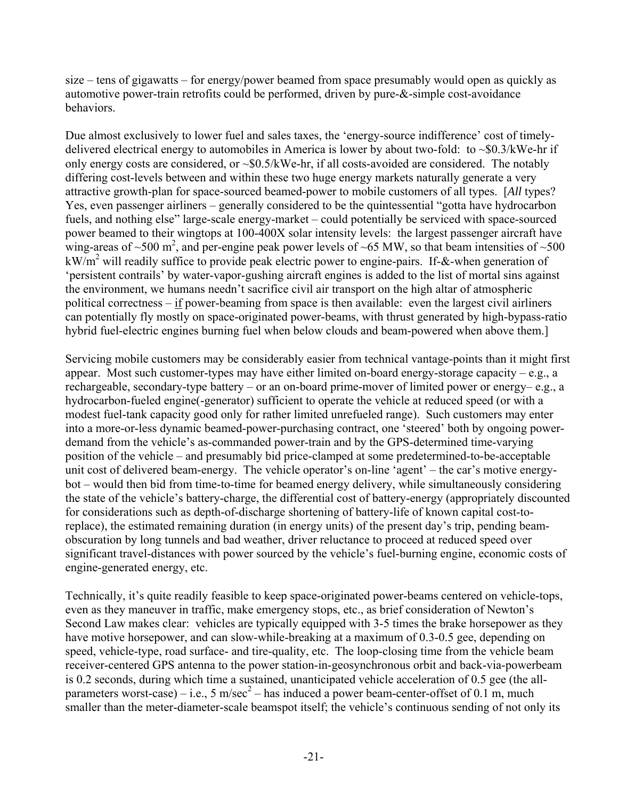size – tens of gigawatts – for energy/power beamed from space presumably would open as quickly as automotive power-train retrofits could be performed, driven by pure-&-simple cost-avoidance behaviors.

Due almost exclusively to lower fuel and sales taxes, the 'energy-source indifference' cost of timelydelivered electrical energy to automobiles in America is lower by about two-fold: to  $\sim $0.3$ /kWe-hr if only energy costs are considered, or  $\sim$ \$0.5/kWe-hr, if all costs-avoided are considered. The notably differing cost-levels between and within these two huge energy markets naturally generate a very attractive growth-plan for space-sourced beamed-power to mobile customers of all types. [*All* types? Yes, even passenger airliners – generally considered to be the quintessential "gotta have hydrocarbon fuels, and nothing else" large-scale energy-market – could potentially be serviced with space-sourced power beamed to their wingtops at 100-400X solar intensity levels: the largest passenger aircraft have wing-areas of  $\sim$ 500 m<sup>2</sup>, and per-engine peak power levels of  $\sim$ 65 MW, so that beam intensities of  $\sim$ 500 kW/m<sup>2</sup> will readily suffice to provide peak electric power to engine-pairs. If-&-when generation of 'persistent contrails' by water-vapor-gushing aircraft engines is added to the list of mortal sins against the environment, we humans needn't sacrifice civil air transport on the high altar of atmospheric political correctness – if power-beaming from space is then available: even the largest civil airliners can potentially fly mostly on space-originated power-beams, with thrust generated by high-bypass-ratio hybrid fuel-electric engines burning fuel when below clouds and beam-powered when above them.

Servicing mobile customers may be considerably easier from technical vantage-points than it might first appear. Most such customer-types may have either limited on-board energy-storage capacity – e.g., a rechargeable, secondary-type battery – or an on-board prime-mover of limited power or energy– e.g., a hydrocarbon-fueled engine(-generator) sufficient to operate the vehicle at reduced speed (or with a modest fuel-tank capacity good only for rather limited unrefueled range). Such customers may enter into a more-or-less dynamic beamed-power-purchasing contract, one 'steered' both by ongoing powerdemand from the vehicle's as-commanded power-train and by the GPS-determined time-varying position of the vehicle – and presumably bid price-clamped at some predetermined-to-be-acceptable unit cost of delivered beam-energy. The vehicle operator's on-line 'agent' – the car's motive energybot – would then bid from time-to-time for beamed energy delivery, while simultaneously considering the state of the vehicle's battery-charge, the differential cost of battery-energy (appropriately discounted for considerations such as depth-of-discharge shortening of battery-life of known capital cost-toreplace), the estimated remaining duration (in energy units) of the present day's trip, pending beamobscuration by long tunnels and bad weather, driver reluctance to proceed at reduced speed over significant travel-distances with power sourced by the vehicle's fuel-burning engine, economic costs of engine-generated energy, etc.

Technically, it's quite readily feasible to keep space-originated power-beams centered on vehicle-tops, even as they maneuver in traffic, make emergency stops, etc., as brief consideration of Newton's Second Law makes clear: vehicles are typically equipped with 3-5 times the brake horsepower as they have motive horsepower, and can slow-while-breaking at a maximum of 0.3-0.5 gee, depending on speed, vehicle-type, road surface- and tire-quality, etc. The loop-closing time from the vehicle beam receiver-centered GPS antenna to the power station-in-geosynchronous orbit and back-via-powerbeam is 0.2 seconds, during which time a sustained, unanticipated vehicle acceleration of 0.5 gee (the allparameters worst-case) – i.e., 5 m/sec<sup>2</sup> – has induced a power beam-center-offset of 0.1 m, much smaller than the meter-diameter-scale beamspot itself; the vehicle's continuous sending of not only its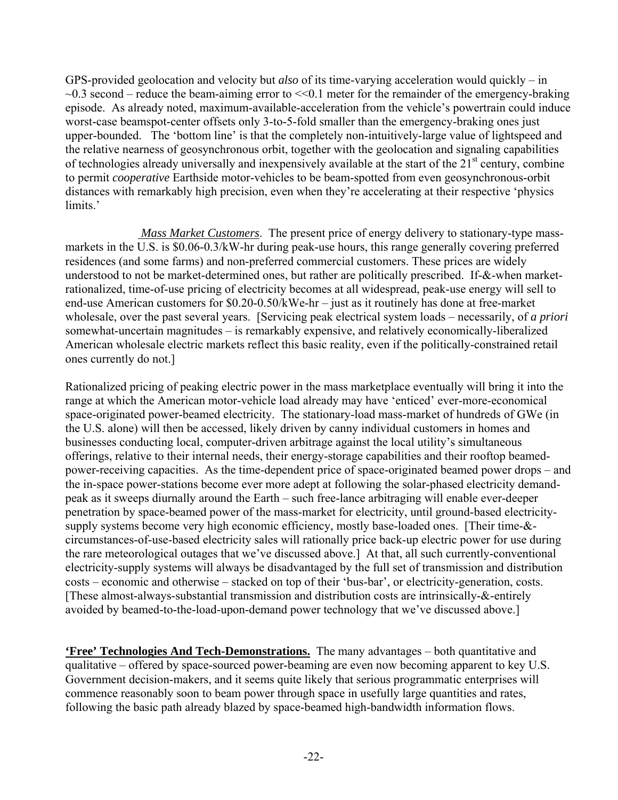GPS-provided geolocation and velocity but *also* of its time-varying acceleration would quickly – in  $\sim$ 0.3 second – reduce the beam-aiming error to  $\ll$ 0.1 meter for the remainder of the emergency-braking episode. As already noted, maximum-available-acceleration from the vehicle's powertrain could induce worst-case beamspot-center offsets only 3-to-5-fold smaller than the emergency-braking ones just upper-bounded. The 'bottom line' is that the completely non-intuitively-large value of lightspeed and the relative nearness of geosynchronous orbit, together with the geolocation and signaling capabilities of technologies already universally and inexpensively available at the start of the  $21<sup>st</sup>$  century, combine to permit *cooperative* Earthside motor-vehicles to be beam-spotted from even geosynchronous-orbit distances with remarkably high precision, even when they're accelerating at their respective 'physics limits.'

 *Mass Market Customers*. The present price of energy delivery to stationary-type massmarkets in the U.S. is \$0.06-0.3/kW-hr during peak-use hours, this range generally covering preferred residences (and some farms) and non-preferred commercial customers. These prices are widely understood to not be market-determined ones, but rather are politically prescribed. If-&-when marketrationalized, time-of-use pricing of electricity becomes at all widespread, peak-use energy will sell to end-use American customers for \$0.20-0.50/kWe-hr – just as it routinely has done at free-market wholesale, over the past several years. [Servicing peak electrical system loads – necessarily, of *a priori* somewhat-uncertain magnitudes – is remarkably expensive, and relatively economically-liberalized American wholesale electric markets reflect this basic reality, even if the politically-constrained retail ones currently do not.]

Rationalized pricing of peaking electric power in the mass marketplace eventually will bring it into the range at which the American motor-vehicle load already may have 'enticed' ever-more-economical space-originated power-beamed electricity. The stationary-load mass-market of hundreds of GWe (in the U.S. alone) will then be accessed, likely driven by canny individual customers in homes and businesses conducting local, computer-driven arbitrage against the local utility's simultaneous offerings, relative to their internal needs, their energy-storage capabilities and their rooftop beamedpower-receiving capacities. As the time-dependent price of space-originated beamed power drops – and the in-space power-stations become ever more adept at following the solar-phased electricity demandpeak as it sweeps diurnally around the Earth – such free-lance arbitraging will enable ever-deeper penetration by space-beamed power of the mass-market for electricity, until ground-based electricitysupply systems become very high economic efficiency, mostly base-loaded ones. [Their time-& circumstances-of-use-based electricity sales will rationally price back-up electric power for use during the rare meteorological outages that we've discussed above.] At that, all such currently-conventional electricity-supply systems will always be disadvantaged by the full set of transmission and distribution costs – economic and otherwise – stacked on top of their 'bus-bar', or electricity-generation, costs. [These almost-always-substantial transmission and distribution costs are intrinsically-&-entirely avoided by beamed-to-the-load-upon-demand power technology that we've discussed above.]

**'Free' Technologies And Tech-Demonstrations.** The many advantages – both quantitative and qualitative – offered by space-sourced power-beaming are even now becoming apparent to key U.S. Government decision-makers, and it seems quite likely that serious programmatic enterprises will commence reasonably soon to beam power through space in usefully large quantities and rates, following the basic path already blazed by space-beamed high-bandwidth information flows.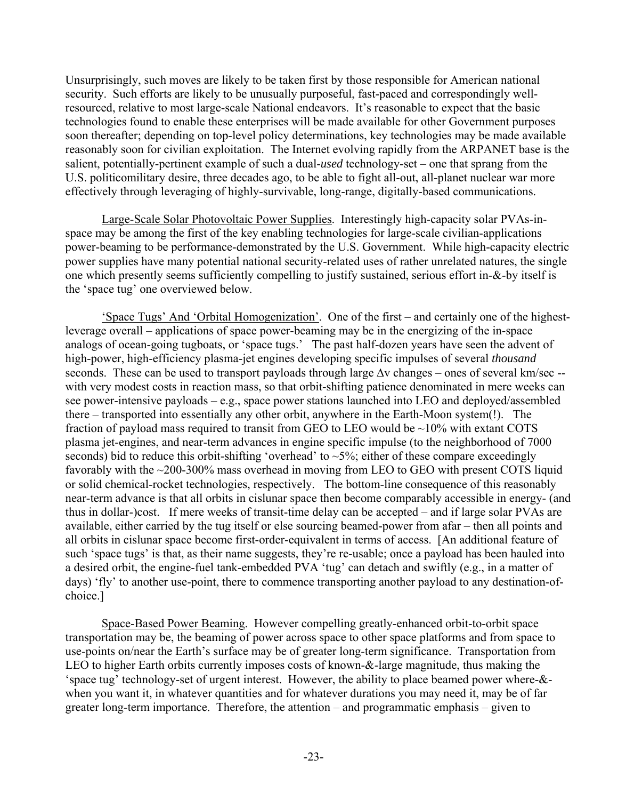Unsurprisingly, such moves are likely to be taken first by those responsible for American national security. Such efforts are likely to be unusually purposeful, fast-paced and correspondingly wellresourced, relative to most large-scale National endeavors. It's reasonable to expect that the basic technologies found to enable these enterprises will be made available for other Government purposes soon thereafter; depending on top-level policy determinations, key technologies may be made available reasonably soon for civilian exploitation. The Internet evolving rapidly from the ARPANET base is the salient, potentially-pertinent example of such a dual-*used* technology-set – one that sprang from the U.S. politicomilitary desire, three decades ago, to be able to fight all-out, all-planet nuclear war more effectively through leveraging of highly-survivable, long-range, digitally-based communications.

Large-Scale Solar Photovoltaic Power Supplies. Interestingly high-capacity solar PVAs-inspace may be among the first of the key enabling technologies for large-scale civilian-applications power-beaming to be performance-demonstrated by the U.S. Government. While high-capacity electric power supplies have many potential national security-related uses of rather unrelated natures, the single one which presently seems sufficiently compelling to justify sustained, serious effort in-&-by itself is the 'space tug' one overviewed below.

'Space Tugs' And 'Orbital Homogenization'. One of the first – and certainly one of the highestleverage overall – applications of space power-beaming may be in the energizing of the in-space analogs of ocean-going tugboats, or 'space tugs.' The past half-dozen years have seen the advent of high-power, high-efficiency plasma-jet engines developing specific impulses of several *thousand* seconds. These can be used to transport payloads through large ∆v changes – ones of several km/sec -with very modest costs in reaction mass, so that orbit-shifting patience denominated in mere weeks can see power-intensive payloads – e.g., space power stations launched into LEO and deployed/assembled there – transported into essentially any other orbit, anywhere in the Earth-Moon system(!). The fraction of payload mass required to transit from GEO to LEO would be  $\sim$ 10% with extant COTS plasma jet-engines, and near-term advances in engine specific impulse (to the neighborhood of 7000 seconds) bid to reduce this orbit-shifting 'overhead' to  $\sim$ 5%; either of these compare exceedingly favorably with the ~200-300% mass overhead in moving from LEO to GEO with present COTS liquid or solid chemical-rocket technologies, respectively. The bottom-line consequence of this reasonably near-term advance is that all orbits in cislunar space then become comparably accessible in energy- (and thus in dollar-)cost. If mere weeks of transit-time delay can be accepted – and if large solar PVAs are available, either carried by the tug itself or else sourcing beamed-power from afar – then all points and all orbits in cislunar space become first-order-equivalent in terms of access. [An additional feature of such 'space tugs' is that, as their name suggests, they're re-usable; once a payload has been hauled into a desired orbit, the engine-fuel tank-embedded PVA 'tug' can detach and swiftly (e.g., in a matter of days) 'fly' to another use-point, there to commence transporting another payload to any destination-ofchoice.]

Space-Based Power Beaming. However compelling greatly-enhanced orbit-to-orbit space transportation may be, the beaming of power across space to other space platforms and from space to use-points on/near the Earth's surface may be of greater long-term significance. Transportation from LEO to higher Earth orbits currently imposes costs of known-&-large magnitude, thus making the 'space tug' technology-set of urgent interest. However, the ability to place beamed power where-& when you want it, in whatever quantities and for whatever durations you may need it, may be of far greater long-term importance. Therefore, the attention – and programmatic emphasis – given to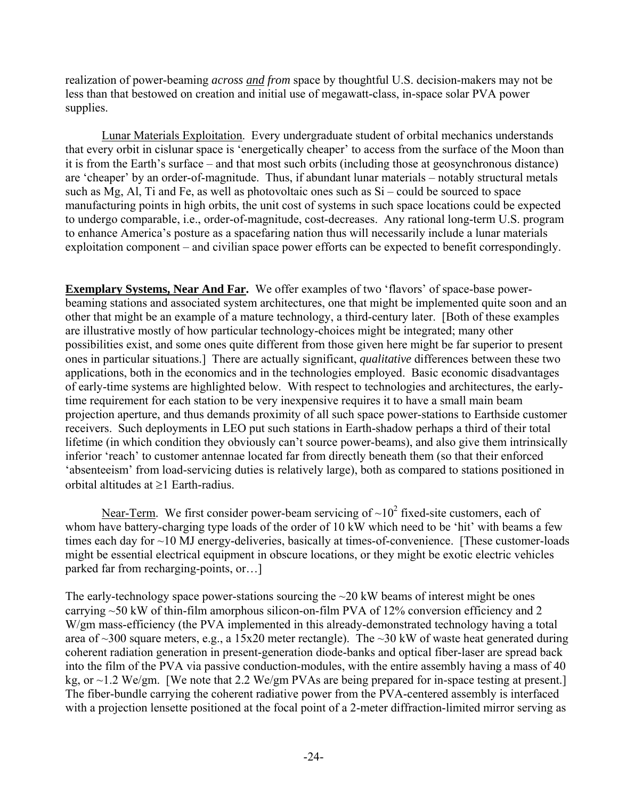realization of power-beaming *across and from* space by thoughtful U.S. decision-makers may not be less than that bestowed on creation and initial use of megawatt-class, in-space solar PVA power supplies.

Lunar Materials Exploitation. Every undergraduate student of orbital mechanics understands that every orbit in cislunar space is 'energetically cheaper' to access from the surface of the Moon than it is from the Earth's surface – and that most such orbits (including those at geosynchronous distance) are 'cheaper' by an order-of-magnitude. Thus, if abundant lunar materials – notably structural metals such as Mg, Al, Ti and Fe, as well as photovoltaic ones such as Si – could be sourced to space manufacturing points in high orbits, the unit cost of systems in such space locations could be expected to undergo comparable, i.e., order-of-magnitude, cost-decreases. Any rational long-term U.S. program to enhance America's posture as a spacefaring nation thus will necessarily include a lunar materials exploitation component – and civilian space power efforts can be expected to benefit correspondingly.

**Exemplary Systems, Near And Far.** We offer examples of two 'flavors' of space-base powerbeaming stations and associated system architectures, one that might be implemented quite soon and an other that might be an example of a mature technology, a third-century later. [Both of these examples are illustrative mostly of how particular technology-choices might be integrated; many other possibilities exist, and some ones quite different from those given here might be far superior to present ones in particular situations.] There are actually significant, *qualitative* differences between these two applications, both in the economics and in the technologies employed. Basic economic disadvantages of early-time systems are highlighted below. With respect to technologies and architectures, the earlytime requirement for each station to be very inexpensive requires it to have a small main beam projection aperture, and thus demands proximity of all such space power-stations to Earthside customer receivers. Such deployments in LEO put such stations in Earth-shadow perhaps a third of their total lifetime (in which condition they obviously can't source power-beams), and also give them intrinsically inferior 'reach' to customer antennae located far from directly beneath them (so that their enforced 'absenteeism' from load-servicing duties is relatively large), both as compared to stations positioned in orbital altitudes at ≥1 Earth-radius.

Near-Term. We first consider power-beam servicing of  $\sim 10^2$  fixed-site customers, each of whom have battery-charging type loads of the order of 10 kW which need to be 'hit' with beams a few times each day for ~10 MJ energy-deliveries, basically at times-of-convenience. [These customer-loads might be essential electrical equipment in obscure locations, or they might be exotic electric vehicles parked far from recharging-points, or…]

The early-technology space power-stations sourcing the  $\sim$ 20 kW beams of interest might be ones carrying  $\sim$  50 kW of thin-film amorphous silicon-on-film PVA of 12% conversion efficiency and 2 W/gm mass-efficiency (the PVA implemented in this already-demonstrated technology having a total area of ~300 square meters, e.g., a 15x20 meter rectangle). The ~30 kW of waste heat generated during coherent radiation generation in present-generation diode-banks and optical fiber-laser are spread back into the film of the PVA via passive conduction-modules, with the entire assembly having a mass of 40 kg, or ~1.2 We/gm. [We note that 2.2 We/gm PVAs are being prepared for in-space testing at present.] The fiber-bundle carrying the coherent radiative power from the PVA-centered assembly is interfaced with a projection lensette positioned at the focal point of a 2-meter diffraction-limited mirror serving as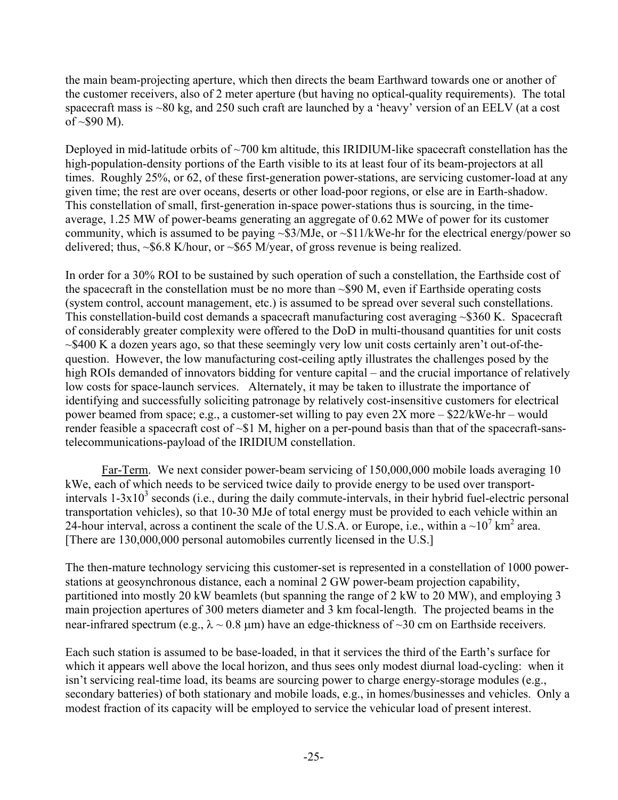the main beam-projecting aperture, which then directs the beam Earthward towards one or another of the customer receivers, also of 2 meter aperture (but having no optical-quality requirements). The total spacecraft mass is ~80 kg, and 250 such craft are launched by a 'heavy' version of an EELV (at a cost of  $\sim$ \$90 M).

Deployed in mid-latitude orbits of  $\sim$ 700 km altitude, this IRIDIUM-like spacecraft constellation has the high-population-density portions of the Earth visible to its at least four of its beam-projectors at all times. Roughly 25%, or 62, of these first-generation power-stations, are servicing customer-load at any given time; the rest are over oceans, deserts or other load-poor regions, or else are in Earth-shadow. This constellation of small, first-generation in-space power-stations thus is sourcing, in the timeaverage, 1.25 MW of power-beams generating an aggregate of 0.62 MWe of power for its customer community, which is assumed to be paying  $\sim $3/MJe$ , or  $\sim $11/kWe$ -hr for the electrical energy/power so delivered; thus, ~\$6.8 K/hour, or ~\$65 M/year, of gross revenue is being realized.

In order for a 30% ROI to be sustained by such operation of such a constellation, the Earthside cost of the spacecraft in the constellation must be no more than  $\sim$ \$90 M, even if Earthside operating costs (system control, account management, etc.) is assumed to be spread over several such constellations. This constellation-build cost demands a spacecraft manufacturing cost averaging ~\$360 K. Spacecraft of considerably greater complexity were offered to the DoD in multi-thousand quantities for unit costs ~\$400 K a dozen years ago, so that these seemingly very low unit costs certainly aren't out-of-thequestion. However, the low manufacturing cost-ceiling aptly illustrates the challenges posed by the high ROIs demanded of innovators bidding for venture capital – and the crucial importance of relatively low costs for space-launch services. Alternately, it may be taken to illustrate the importance of identifying and successfully soliciting patronage by relatively cost-insensitive customers for electrical power beamed from space; e.g., a customer-set willing to pay even 2X more – \$22/kWe-hr – would render feasible a spacecraft cost of  $\sim 1$  M, higher on a per-pound basis than that of the spacecraft-sanstelecommunications-payload of the IRIDIUM constellation.

Far-Term. We next consider power-beam servicing of 150,000,000 mobile loads averaging 10 kWe, each of which needs to be serviced twice daily to provide energy to be used over transportintervals  $1-3x10^3$  seconds (i.e., during the daily commute-intervals, in their hybrid fuel-electric personal transportation vehicles), so that 10-30 MJe of total energy must be provided to each vehicle within an 24-hour interval, across a continent the scale of the U.S.A. or Europe, i.e., within a  $\sim 10^7$  km<sup>2</sup> area. [There are 130,000,000 personal automobiles currently licensed in the U.S.]

The then-mature technology servicing this customer-set is represented in a constellation of 1000 powerstations at geosynchronous distance, each a nominal 2 GW power-beam projection capability, partitioned into mostly 20 kW beamlets (but spanning the range of 2 kW to 20 MW), and employing 3 main projection apertures of 300 meters diameter and 3 km focal-length. The projected beams in the near-infrared spectrum (e.g.,  $\lambda \sim 0.8$  µm) have an edge-thickness of  $\sim 30$  cm on Earthside receivers.

Each such station is assumed to be base-loaded, in that it services the third of the Earth's surface for which it appears well above the local horizon, and thus sees only modest diurnal load-cycling: when it isn't servicing real-time load, its beams are sourcing power to charge energy-storage modules (e.g., secondary batteries) of both stationary and mobile loads, e.g., in homes/businesses and vehicles. Only a modest fraction of its capacity will be employed to service the vehicular load of present interest.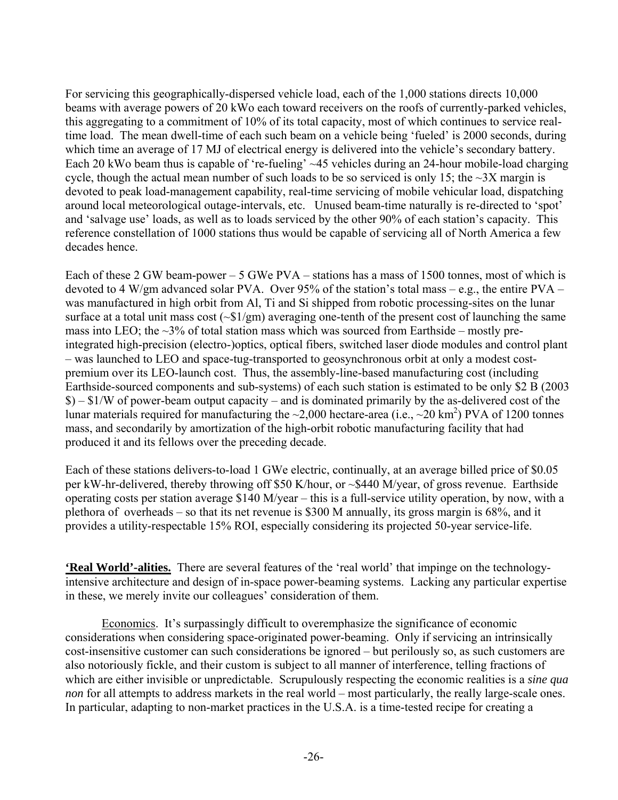For servicing this geographically-dispersed vehicle load, each of the 1,000 stations directs 10,000 beams with average powers of 20 kWo each toward receivers on the roofs of currently-parked vehicles, this aggregating to a commitment of 10% of its total capacity, most of which continues to service realtime load. The mean dwell-time of each such beam on a vehicle being 'fueled' is 2000 seconds, during which time an average of 17 MJ of electrical energy is delivered into the vehicle's secondary battery. Each 20 kWo beam thus is capable of 're-fueling' ~45 vehicles during an 24-hour mobile-load charging cycle, though the actual mean number of such loads to be so serviced is only 15; the  $\sim$ 3X margin is devoted to peak load-management capability, real-time servicing of mobile vehicular load, dispatching around local meteorological outage-intervals, etc. Unused beam-time naturally is re-directed to 'spot' and 'salvage use' loads, as well as to loads serviced by the other 90% of each station's capacity. This reference constellation of 1000 stations thus would be capable of servicing all of North America a few decades hence.

Each of these 2 GW beam-power – 5 GWe PVA – stations has a mass of 1500 tonnes, most of which is devoted to 4 W/gm advanced solar PVA. Over 95% of the station's total mass – e.g., the entire PVA – was manufactured in high orbit from Al, Ti and Si shipped from robotic processing-sites on the lunar surface at a total unit mass cost  $({}_{51}/gm)$  averaging one-tenth of the present cost of launching the same mass into LEO; the  $\sim$ 3% of total station mass which was sourced from Earthside – mostly preintegrated high-precision (electro-)optics, optical fibers, switched laser diode modules and control plant – was launched to LEO and space-tug-transported to geosynchronous orbit at only a modest costpremium over its LEO-launch cost. Thus, the assembly-line-based manufacturing cost (including Earthside-sourced components and sub-systems) of each such station is estimated to be only \$2 B (2003 \$) – \$1/W of power-beam output capacity – and is dominated primarily by the as-delivered cost of the lunar materials required for manufacturing the  $\sim$ 2,000 hectare-area (i.e.,  $\sim$ 20 km<sup>2</sup>) PVA of 1200 tonnes mass, and secondarily by amortization of the high-orbit robotic manufacturing facility that had produced it and its fellows over the preceding decade.

Each of these stations delivers-to-load 1 GWe electric, continually, at an average billed price of \$0.05 per kW-hr-delivered, thereby throwing off \$50 K/hour, or ~\$440 M/year, of gross revenue. Earthside operating costs per station average \$140 M/year – this is a full-service utility operation, by now, with a plethora of overheads – so that its net revenue is \$300 M annually, its gross margin is 68%, and it provides a utility-respectable 15% ROI, especially considering its projected 50-year service-life.

**'Real World'-alities.** There are several features of the 'real world' that impinge on the technologyintensive architecture and design of in-space power-beaming systems. Lacking any particular expertise in these, we merely invite our colleagues' consideration of them.

Economics. It's surpassingly difficult to overemphasize the significance of economic considerations when considering space-originated power-beaming. Only if servicing an intrinsically cost-insensitive customer can such considerations be ignored – but perilously so, as such customers are also notoriously fickle, and their custom is subject to all manner of interference, telling fractions of which are either invisible or unpredictable. Scrupulously respecting the economic realities is a *sine qua non* for all attempts to address markets in the real world – most particularly, the really large-scale ones. In particular, adapting to non-market practices in the U.S.A. is a time-tested recipe for creating a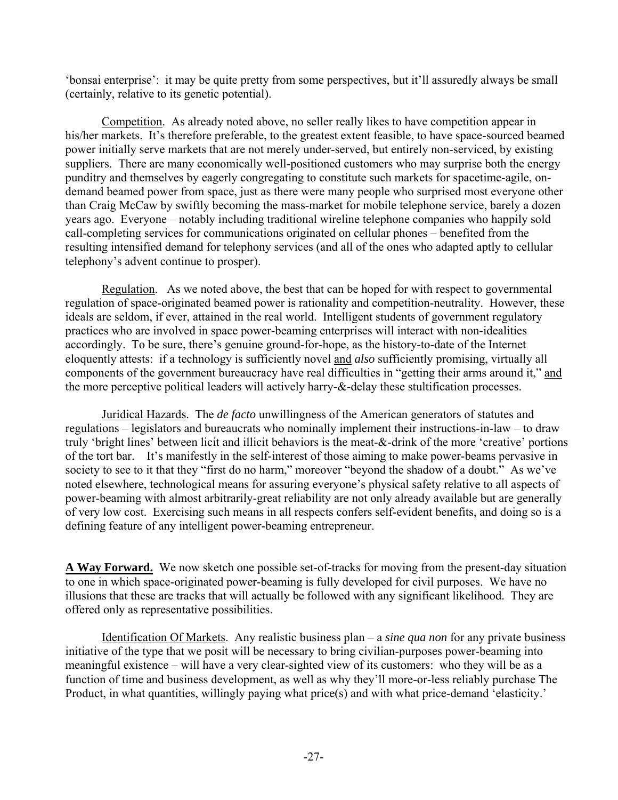'bonsai enterprise': it may be quite pretty from some perspectives, but it'll assuredly always be small (certainly, relative to its genetic potential).

Competition. As already noted above, no seller really likes to have competition appear in his/her markets. It's therefore preferable, to the greatest extent feasible, to have space-sourced beamed power initially serve markets that are not merely under-served, but entirely non-serviced, by existing suppliers. There are many economically well-positioned customers who may surprise both the energy punditry and themselves by eagerly congregating to constitute such markets for spacetime-agile, ondemand beamed power from space, just as there were many people who surprised most everyone other than Craig McCaw by swiftly becoming the mass-market for mobile telephone service, barely a dozen years ago. Everyone – notably including traditional wireline telephone companies who happily sold call-completing services for communications originated on cellular phones – benefited from the resulting intensified demand for telephony services (and all of the ones who adapted aptly to cellular telephony's advent continue to prosper).

Regulation. As we noted above, the best that can be hoped for with respect to governmental regulation of space-originated beamed power is rationality and competition-neutrality. However, these ideals are seldom, if ever, attained in the real world. Intelligent students of government regulatory practices who are involved in space power-beaming enterprises will interact with non-idealities accordingly. To be sure, there's genuine ground-for-hope, as the history-to-date of the Internet eloquently attests: if a technology is sufficiently novel and *also* sufficiently promising, virtually all components of the government bureaucracy have real difficulties in "getting their arms around it," and the more perceptive political leaders will actively harry-&-delay these stultification processes.

Juridical Hazards. The *de facto* unwillingness of the American generators of statutes and regulations – legislators and bureaucrats who nominally implement their instructions-in-law – to draw truly 'bright lines' between licit and illicit behaviors is the meat-&-drink of the more 'creative' portions of the tort bar. It's manifestly in the self-interest of those aiming to make power-beams pervasive in society to see to it that they "first do no harm," moreover "beyond the shadow of a doubt." As we've noted elsewhere, technological means for assuring everyone's physical safety relative to all aspects of power-beaming with almost arbitrarily-great reliability are not only already available but are generally of very low cost. Exercising such means in all respects confers self-evident benefits, and doing so is a defining feature of any intelligent power-beaming entrepreneur.

**A Way Forward.** We now sketch one possible set-of-tracks for moving from the present-day situation to one in which space-originated power-beaming is fully developed for civil purposes. We have no illusions that these are tracks that will actually be followed with any significant likelihood. They are offered only as representative possibilities.

Identification Of Markets. Any realistic business plan – a *sine qua non* for any private business initiative of the type that we posit will be necessary to bring civilian-purposes power-beaming into meaningful existence – will have a very clear-sighted view of its customers: who they will be as a function of time and business development, as well as why they'll more-or-less reliably purchase The Product, in what quantities, willingly paying what price(s) and with what price-demand 'elasticity.'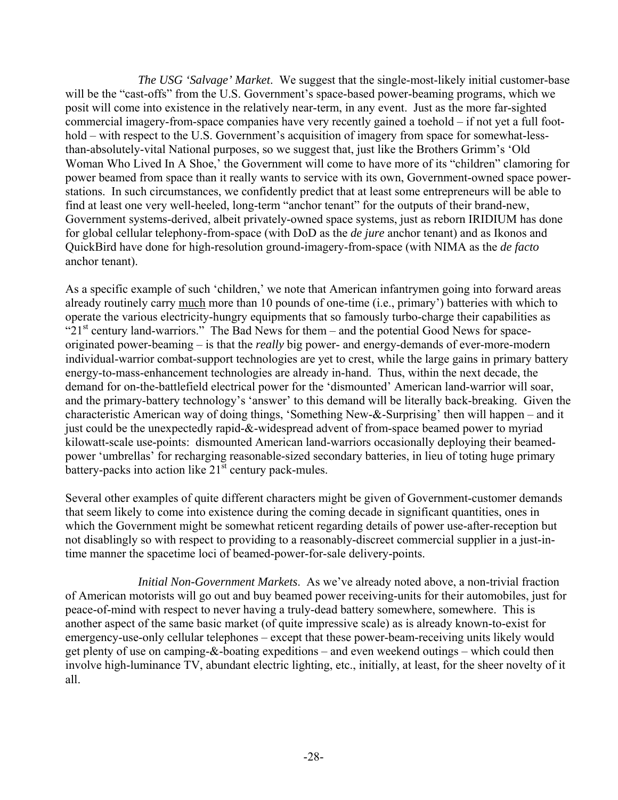*The USG 'Salvage' Market*. We suggest that the single-most-likely initial customer-base will be the "cast-offs" from the U.S. Government's space-based power-beaming programs, which we posit will come into existence in the relatively near-term, in any event. Just as the more far-sighted commercial imagery-from-space companies have very recently gained a toehold – if not yet a full foothold – with respect to the U.S. Government's acquisition of imagery from space for somewhat-lessthan-absolutely-vital National purposes, so we suggest that, just like the Brothers Grimm's 'Old Woman Who Lived In A Shoe,' the Government will come to have more of its "children" clamoring for power beamed from space than it really wants to service with its own, Government-owned space powerstations. In such circumstances, we confidently predict that at least some entrepreneurs will be able to find at least one very well-heeled, long-term "anchor tenant" for the outputs of their brand-new, Government systems-derived, albeit privately-owned space systems, just as reborn IRIDIUM has done for global cellular telephony-from-space (with DoD as the *de jure* anchor tenant) and as Ikonos and QuickBird have done for high-resolution ground-imagery-from-space (with NIMA as the *de facto* anchor tenant).

As a specific example of such 'children,' we note that American infantrymen going into forward areas already routinely carry much more than 10 pounds of one-time (i.e., primary') batteries with which to operate the various electricity-hungry equipments that so famously turbo-charge their capabilities as " $21<sup>st</sup>$  century land-warriors." The Bad News for them – and the potential Good News for spaceoriginated power-beaming – is that the *really* big power- and energy-demands of ever-more-modern individual-warrior combat-support technologies are yet to crest, while the large gains in primary battery energy-to-mass-enhancement technologies are already in-hand. Thus, within the next decade, the demand for on-the-battlefield electrical power for the 'dismounted' American land-warrior will soar, and the primary-battery technology's 'answer' to this demand will be literally back-breaking. Given the characteristic American way of doing things, 'Something New-&-Surprising' then will happen – and it just could be the unexpectedly rapid-&-widespread advent of from-space beamed power to myriad kilowatt-scale use-points: dismounted American land-warriors occasionally deploying their beamedpower 'umbrellas' for recharging reasonable-sized secondary batteries, in lieu of toting huge primary battery-packs into action like  $21^{st}$  century pack-mules.

Several other examples of quite different characters might be given of Government-customer demands that seem likely to come into existence during the coming decade in significant quantities, ones in which the Government might be somewhat reticent regarding details of power use-after-reception but not disablingly so with respect to providing to a reasonably-discreet commercial supplier in a just-intime manner the spacetime loci of beamed-power-for-sale delivery-points.

 *Initial Non-Government Markets*. As we've already noted above, a non-trivial fraction of American motorists will go out and buy beamed power receiving-units for their automobiles, just for peace-of-mind with respect to never having a truly-dead battery somewhere, somewhere. This is another aspect of the same basic market (of quite impressive scale) as is already known-to-exist for emergency-use-only cellular telephones – except that these power-beam-receiving units likely would get plenty of use on camping-&-boating expeditions – and even weekend outings – which could then involve high-luminance TV, abundant electric lighting, etc., initially, at least, for the sheer novelty of it all.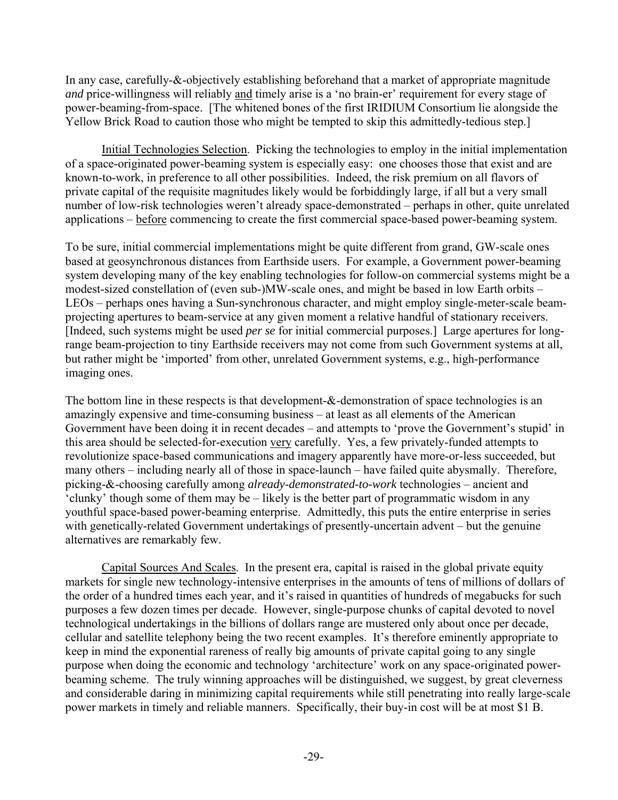In any case, carefully-&-objectively establishing beforehand that a market of appropriate magnitude *and* price-willingness will reliably and timely arise is a 'no brain-er' requirement for every stage of power-beaming-from-space. [The whitened bones of the first IRIDIUM Consortium lie alongside the Yellow Brick Road to caution those who might be tempted to skip this admittedly-tedious step.]

Initial Technologies Selection. Picking the technologies to employ in the initial implementation of a space-originated power-beaming system is especially easy: one chooses those that exist and are known-to-work, in preference to all other possibilities. Indeed, the risk premium on all flavors of private capital of the requisite magnitudes likely would be forbiddingly large, if all but a very small number of low-risk technologies weren't already space-demonstrated – perhaps in other, quite unrelated applications – before commencing to create the first commercial space-based power-beaming system.

To be sure, initial commercial implementations might be quite different from grand, GW-scale ones based at geosynchronous distances from Earthside users. For example, a Government power-beaming system developing many of the key enabling technologies for follow-on commercial systems might be a modest-sized constellation of (even sub-)MW-scale ones, and might be based in low Earth orbits – LEOs – perhaps ones having a Sun-synchronous character, and might employ single-meter-scale beamprojecting apertures to beam-service at any given moment a relative handful of stationary receivers. [Indeed, such systems might be used *per se* for initial commercial purposes.] Large apertures for longrange beam-projection to tiny Earthside receivers may not come from such Government systems at all, but rather might be 'imported' from other, unrelated Government systems, e.g., high-performance imaging ones.

The bottom line in these respects is that development-&-demonstration of space technologies is an amazingly expensive and time-consuming business – at least as all elements of the American Government have been doing it in recent decades – and attempts to 'prove the Government's stupid' in this area should be selected-for-execution very carefully. Yes, a few privately-funded attempts to revolutionize space-based communications and imagery apparently have more-or-less succeeded, but many others – including nearly all of those in space-launch – have failed quite abysmally. Therefore, picking-&-choosing carefully among *already-demonstrated-to-work* technologies – ancient and 'clunky' though some of them may be – likely is the better part of programmatic wisdom in any youthful space-based power-beaming enterprise. Admittedly, this puts the entire enterprise in series with genetically-related Government undertakings of presently-uncertain advent – but the genuine alternatives are remarkably few.

Capital Sources And Scales. In the present era, capital is raised in the global private equity markets for single new technology-intensive enterprises in the amounts of tens of millions of dollars of the order of a hundred times each year, and it's raised in quantities of hundreds of megabucks for such purposes a few dozen times per decade. However, single-purpose chunks of capital devoted to novel technological undertakings in the billions of dollars range are mustered only about once per decade, cellular and satellite telephony being the two recent examples. It's therefore eminently appropriate to keep in mind the exponential rareness of really big amounts of private capital going to any single purpose when doing the economic and technology 'architecture' work on any space-originated powerbeaming scheme. The truly winning approaches will be distinguished, we suggest, by great cleverness and considerable daring in minimizing capital requirements while still penetrating into really large-scale power markets in timely and reliable manners. Specifically, their buy-in cost will be at most \$1 B.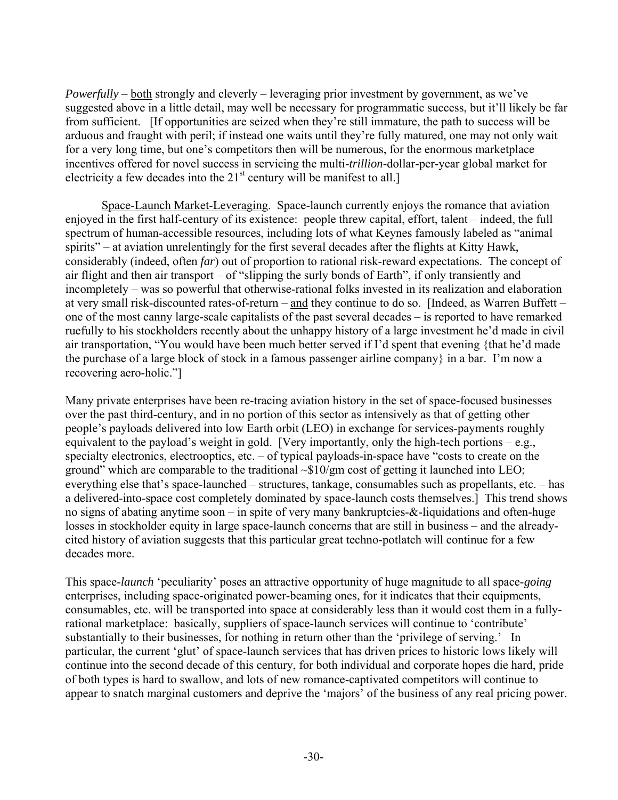*Powerfully* – both strongly and cleverly – leveraging prior investment by government, as we've suggested above in a little detail, may well be necessary for programmatic success, but it'll likely be far from sufficient. [If opportunities are seized when they're still immature, the path to success will be arduous and fraught with peril; if instead one waits until they're fully matured, one may not only wait for a very long time, but one's competitors then will be numerous, for the enormous marketplace incentives offered for novel success in servicing the multi-*trillion*-dollar-per-year global market for electricity a few decades into the  $21<sup>st</sup>$  century will be manifest to all.]

Space-Launch Market-Leveraging. Space-launch currently enjoys the romance that aviation enjoyed in the first half-century of its existence: people threw capital, effort, talent – indeed, the full spectrum of human-accessible resources, including lots of what Keynes famously labeled as "animal spirits" – at aviation unrelentingly for the first several decades after the flights at Kitty Hawk, considerably (indeed, often *far*) out of proportion to rational risk-reward expectations. The concept of air flight and then air transport – of "slipping the surly bonds of Earth", if only transiently and incompletely – was so powerful that otherwise-rational folks invested in its realization and elaboration at very small risk-discounted rates-of-return – and they continue to do so. [Indeed, as Warren Buffett – one of the most canny large-scale capitalists of the past several decades – is reported to have remarked ruefully to his stockholders recently about the unhappy history of a large investment he'd made in civil air transportation, "You would have been much better served if I'd spent that evening {that he'd made the purchase of a large block of stock in a famous passenger airline company} in a bar. I'm now a recovering aero-holic."]

Many private enterprises have been re-tracing aviation history in the set of space-focused businesses over the past third-century, and in no portion of this sector as intensively as that of getting other people's payloads delivered into low Earth orbit (LEO) in exchange for services-payments roughly equivalent to the payload's weight in gold. [Very importantly, only the high-tech portions – e.g., specialty electronics, electrooptics, etc. – of typical payloads-in-space have "costs to create on the ground" which are comparable to the traditional  $\sim $10/\text{gm}$  cost of getting it launched into LEO; everything else that's space-launched – structures, tankage, consumables such as propellants, etc. – has a delivered-into-space cost completely dominated by space-launch costs themselves.] This trend shows no signs of abating anytime soon – in spite of very many bankruptcies-&-liquidations and often-huge losses in stockholder equity in large space-launch concerns that are still in business – and the alreadycited history of aviation suggests that this particular great techno-potlatch will continue for a few decades more.

This space-*launch* 'peculiarity' poses an attractive opportunity of huge magnitude to all space-*going* enterprises, including space-originated power-beaming ones, for it indicates that their equipments, consumables, etc. will be transported into space at considerably less than it would cost them in a fullyrational marketplace: basically, suppliers of space-launch services will continue to 'contribute' substantially to their businesses, for nothing in return other than the 'privilege of serving.' In particular, the current 'glut' of space-launch services that has driven prices to historic lows likely will continue into the second decade of this century, for both individual and corporate hopes die hard, pride of both types is hard to swallow, and lots of new romance-captivated competitors will continue to appear to snatch marginal customers and deprive the 'majors' of the business of any real pricing power.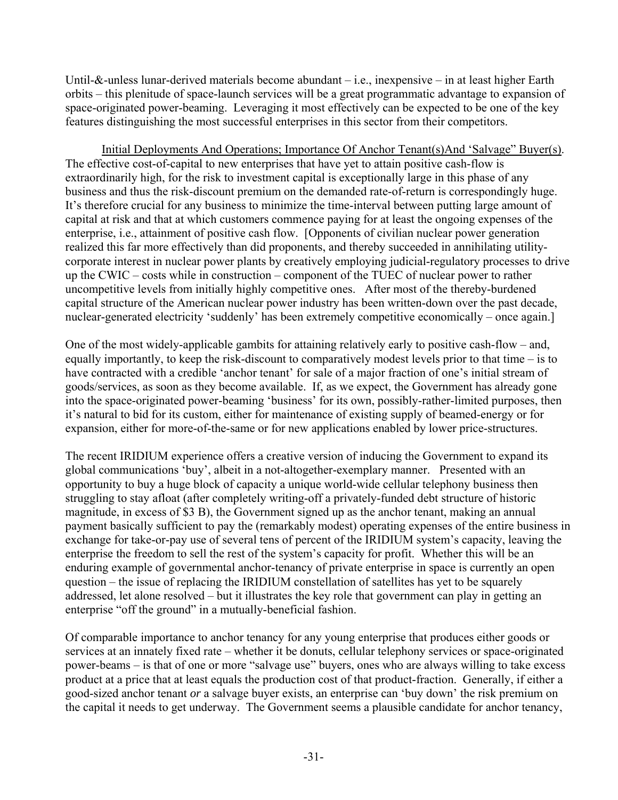Until-&-unless lunar-derived materials become abundant – i.e., inexpensive – in at least higher Earth orbits – this plenitude of space-launch services will be a great programmatic advantage to expansion of space-originated power-beaming. Leveraging it most effectively can be expected to be one of the key features distinguishing the most successful enterprises in this sector from their competitors.

Initial Deployments And Operations; Importance Of Anchor Tenant(s)And 'Salvage" Buyer(s). The effective cost-of-capital to new enterprises that have yet to attain positive cash-flow is extraordinarily high, for the risk to investment capital is exceptionally large in this phase of any business and thus the risk-discount premium on the demanded rate-of-return is correspondingly huge. It's therefore crucial for any business to minimize the time-interval between putting large amount of capital at risk and that at which customers commence paying for at least the ongoing expenses of the enterprise, i.e., attainment of positive cash flow. [Opponents of civilian nuclear power generation realized this far more effectively than did proponents, and thereby succeeded in annihilating utilitycorporate interest in nuclear power plants by creatively employing judicial-regulatory processes to drive up the CWIC – costs while in construction – component of the TUEC of nuclear power to rather uncompetitive levels from initially highly competitive ones. After most of the thereby-burdened capital structure of the American nuclear power industry has been written-down over the past decade, nuclear-generated electricity 'suddenly' has been extremely competitive economically – once again.

One of the most widely-applicable gambits for attaining relatively early to positive cash-flow – and, equally importantly, to keep the risk-discount to comparatively modest levels prior to that time – is to have contracted with a credible 'anchor tenant' for sale of a major fraction of one's initial stream of goods/services, as soon as they become available. If, as we expect, the Government has already gone into the space-originated power-beaming 'business' for its own, possibly-rather-limited purposes, then it's natural to bid for its custom, either for maintenance of existing supply of beamed-energy or for expansion, either for more-of-the-same or for new applications enabled by lower price-structures.

The recent IRIDIUM experience offers a creative version of inducing the Government to expand its global communications 'buy', albeit in a not-altogether-exemplary manner. Presented with an opportunity to buy a huge block of capacity a unique world-wide cellular telephony business then struggling to stay afloat (after completely writing-off a privately-funded debt structure of historic magnitude, in excess of \$3 B), the Government signed up as the anchor tenant, making an annual payment basically sufficient to pay the (remarkably modest) operating expenses of the entire business in exchange for take-or-pay use of several tens of percent of the IRIDIUM system's capacity, leaving the enterprise the freedom to sell the rest of the system's capacity for profit. Whether this will be an enduring example of governmental anchor-tenancy of private enterprise in space is currently an open question – the issue of replacing the IRIDIUM constellation of satellites has yet to be squarely addressed, let alone resolved – but it illustrates the key role that government can play in getting an enterprise "off the ground" in a mutually-beneficial fashion.

Of comparable importance to anchor tenancy for any young enterprise that produces either goods or services at an innately fixed rate – whether it be donuts, cellular telephony services or space-originated power-beams – is that of one or more "salvage use" buyers, ones who are always willing to take excess product at a price that at least equals the production cost of that product-fraction. Generally, if either a good-sized anchor tenant *or* a salvage buyer exists, an enterprise can 'buy down' the risk premium on the capital it needs to get underway. The Government seems a plausible candidate for anchor tenancy,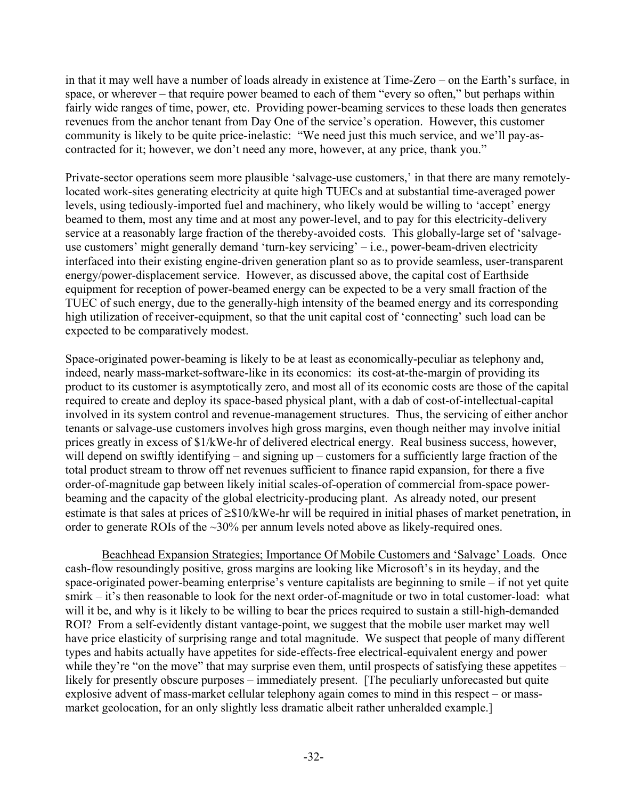in that it may well have a number of loads already in existence at Time-Zero – on the Earth's surface, in space, or wherever – that require power beamed to each of them "every so often," but perhaps within fairly wide ranges of time, power, etc. Providing power-beaming services to these loads then generates revenues from the anchor tenant from Day One of the service's operation. However, this customer community is likely to be quite price-inelastic: "We need just this much service, and we'll pay-ascontracted for it; however, we don't need any more, however, at any price, thank you."

Private-sector operations seem more plausible 'salvage-use customers,' in that there are many remotelylocated work-sites generating electricity at quite high TUECs and at substantial time-averaged power levels, using tediously-imported fuel and machinery, who likely would be willing to 'accept' energy beamed to them, most any time and at most any power-level, and to pay for this electricity-delivery service at a reasonably large fraction of the thereby-avoided costs. This globally-large set of 'salvageuse customers' might generally demand 'turn-key servicing' – i.e., power-beam-driven electricity interfaced into their existing engine-driven generation plant so as to provide seamless, user-transparent energy/power-displacement service. However, as discussed above, the capital cost of Earthside equipment for reception of power-beamed energy can be expected to be a very small fraction of the TUEC of such energy, due to the generally-high intensity of the beamed energy and its corresponding high utilization of receiver-equipment, so that the unit capital cost of 'connecting' such load can be expected to be comparatively modest.

Space-originated power-beaming is likely to be at least as economically-peculiar as telephony and, indeed, nearly mass-market-software-like in its economics: its cost-at-the-margin of providing its product to its customer is asymptotically zero, and most all of its economic costs are those of the capital required to create and deploy its space-based physical plant, with a dab of cost-of-intellectual-capital involved in its system control and revenue-management structures. Thus, the servicing of either anchor tenants or salvage-use customers involves high gross margins, even though neither may involve initial prices greatly in excess of \$1/kWe-hr of delivered electrical energy. Real business success, however, will depend on swiftly identifying – and signing up – customers for a sufficiently large fraction of the total product stream to throw off net revenues sufficient to finance rapid expansion, for there a five order-of-magnitude gap between likely initial scales-of-operation of commercial from-space powerbeaming and the capacity of the global electricity-producing plant. As already noted, our present estimate is that sales at prices of ≥\$10/kWe-hr will be required in initial phases of market penetration, in order to generate ROIs of the ~30% per annum levels noted above as likely-required ones.

Beachhead Expansion Strategies; Importance Of Mobile Customers and 'Salvage' Loads. Once cash-flow resoundingly positive, gross margins are looking like Microsoft's in its heyday, and the space-originated power-beaming enterprise's venture capitalists are beginning to smile – if not yet quite smirk – it's then reasonable to look for the next order-of-magnitude or two in total customer-load: what will it be, and why is it likely to be willing to bear the prices required to sustain a still-high-demanded ROI? From a self-evidently distant vantage-point, we suggest that the mobile user market may well have price elasticity of surprising range and total magnitude. We suspect that people of many different types and habits actually have appetites for side-effects-free electrical-equivalent energy and power while they're "on the move" that may surprise even them, until prospects of satisfying these appetites – likely for presently obscure purposes – immediately present. [The peculiarly unforecasted but quite explosive advent of mass-market cellular telephony again comes to mind in this respect – or massmarket geolocation, for an only slightly less dramatic albeit rather unheralded example.]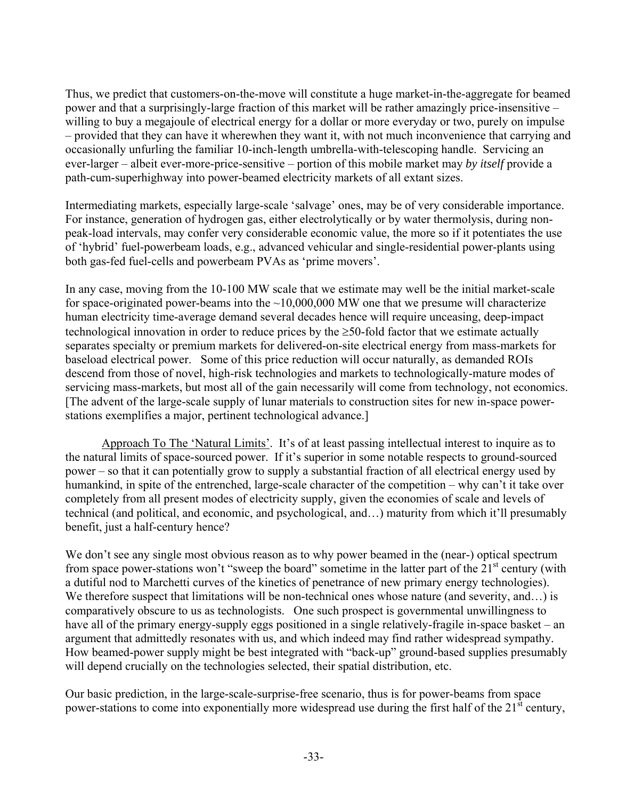Thus, we predict that customers-on-the-move will constitute a huge market-in-the-aggregate for beamed power and that a surprisingly-large fraction of this market will be rather amazingly price-insensitive – willing to buy a megajoule of electrical energy for a dollar or more everyday or two, purely on impulse – provided that they can have it wherewhen they want it, with not much inconvenience that carrying and occasionally unfurling the familiar 10-inch-length umbrella-with-telescoping handle. Servicing an ever-larger – albeit ever-more-price-sensitive – portion of this mobile market may *by itself* provide a path-cum-superhighway into power-beamed electricity markets of all extant sizes.

Intermediating markets, especially large-scale 'salvage' ones, may be of very considerable importance. For instance, generation of hydrogen gas, either electrolytically or by water thermolysis, during nonpeak-load intervals, may confer very considerable economic value, the more so if it potentiates the use of 'hybrid' fuel-powerbeam loads, e.g., advanced vehicular and single-residential power-plants using both gas-fed fuel-cells and powerbeam PVAs as 'prime movers'.

In any case, moving from the 10-100 MW scale that we estimate may well be the initial market-scale for space-originated power-beams into the  $\sim$ 10,000,000 MW one that we presume will characterize human electricity time-average demand several decades hence will require unceasing, deep-impact technological innovation in order to reduce prices by the ≥50-fold factor that we estimate actually separates specialty or premium markets for delivered-on-site electrical energy from mass-markets for baseload electrical power. Some of this price reduction will occur naturally, as demanded ROIs descend from those of novel, high-risk technologies and markets to technologically-mature modes of servicing mass-markets, but most all of the gain necessarily will come from technology, not economics. [The advent of the large-scale supply of lunar materials to construction sites for new in-space powerstations exemplifies a major, pertinent technological advance.]

Approach To The 'Natural Limits'. It's of at least passing intellectual interest to inquire as to the natural limits of space-sourced power. If it's superior in some notable respects to ground-sourced power – so that it can potentially grow to supply a substantial fraction of all electrical energy used by humankind, in spite of the entrenched, large-scale character of the competition – why can't it take over completely from all present modes of electricity supply, given the economies of scale and levels of technical (and political, and economic, and psychological, and…) maturity from which it'll presumably benefit, just a half-century hence?

We don't see any single most obvious reason as to why power beamed in the (near-) optical spectrum from space power-stations won't "sweep the board" sometime in the latter part of the  $21<sup>st</sup>$  century (with a dutiful nod to Marchetti curves of the kinetics of penetrance of new primary energy technologies). We therefore suspect that limitations will be non-technical ones whose nature (and severity, and...) is comparatively obscure to us as technologists. One such prospect is governmental unwillingness to have all of the primary energy-supply eggs positioned in a single relatively-fragile in-space basket – an argument that admittedly resonates with us, and which indeed may find rather widespread sympathy. How beamed-power supply might be best integrated with "back-up" ground-based supplies presumably will depend crucially on the technologies selected, their spatial distribution, etc.

Our basic prediction, in the large-scale-surprise-free scenario, thus is for power-beams from space power-stations to come into exponentially more widespread use during the first half of the 21<sup>st</sup> century,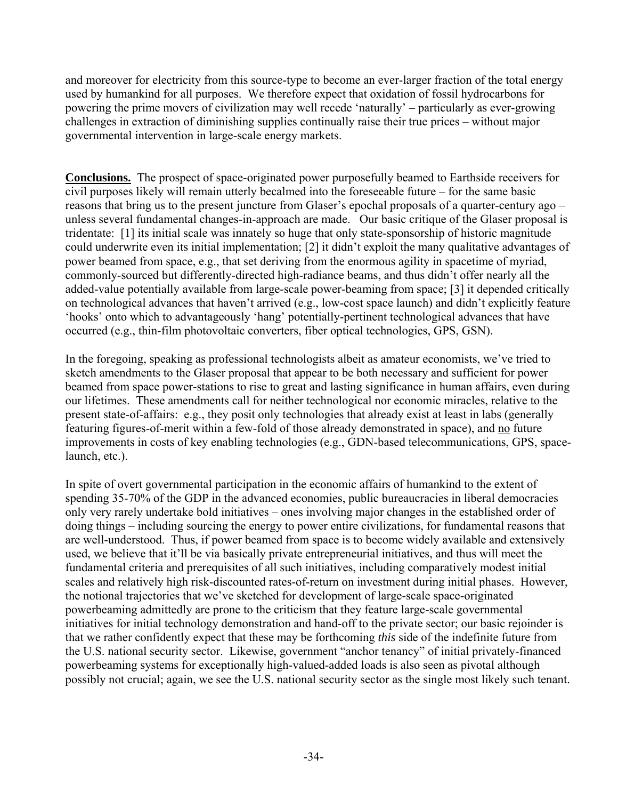and moreover for electricity from this source-type to become an ever-larger fraction of the total energy used by humankind for all purposes. We therefore expect that oxidation of fossil hydrocarbons for powering the prime movers of civilization may well recede 'naturally' – particularly as ever-growing challenges in extraction of diminishing supplies continually raise their true prices – without major governmental intervention in large-scale energy markets.

**Conclusions.** The prospect of space-originated power purposefully beamed to Earthside receivers for civil purposes likely will remain utterly becalmed into the foreseeable future – for the same basic reasons that bring us to the present juncture from Glaser's epochal proposals of a quarter-century ago – unless several fundamental changes-in-approach are made. Our basic critique of the Glaser proposal is tridentate: [1] its initial scale was innately so huge that only state-sponsorship of historic magnitude could underwrite even its initial implementation; [2] it didn't exploit the many qualitative advantages of power beamed from space, e.g., that set deriving from the enormous agility in spacetime of myriad, commonly-sourced but differently-directed high-radiance beams, and thus didn't offer nearly all the added-value potentially available from large-scale power-beaming from space; [3] it depended critically on technological advances that haven't arrived (e.g., low-cost space launch) and didn't explicitly feature 'hooks' onto which to advantageously 'hang' potentially-pertinent technological advances that have occurred (e.g., thin-film photovoltaic converters, fiber optical technologies, GPS, GSN).

In the foregoing, speaking as professional technologists albeit as amateur economists, we've tried to sketch amendments to the Glaser proposal that appear to be both necessary and sufficient for power beamed from space power-stations to rise to great and lasting significance in human affairs, even during our lifetimes. These amendments call for neither technological nor economic miracles, relative to the present state-of-affairs: e.g., they posit only technologies that already exist at least in labs (generally featuring figures-of-merit within a few-fold of those already demonstrated in space), and no future improvements in costs of key enabling technologies (e.g., GDN-based telecommunications, GPS, spacelaunch, etc.).

In spite of overt governmental participation in the economic affairs of humankind to the extent of spending 35-70% of the GDP in the advanced economies, public bureaucracies in liberal democracies only very rarely undertake bold initiatives – ones involving major changes in the established order of doing things – including sourcing the energy to power entire civilizations, for fundamental reasons that are well-understood. Thus, if power beamed from space is to become widely available and extensively used, we believe that it'll be via basically private entrepreneurial initiatives, and thus will meet the fundamental criteria and prerequisites of all such initiatives, including comparatively modest initial scales and relatively high risk-discounted rates-of-return on investment during initial phases. However, the notional trajectories that we've sketched for development of large-scale space-originated powerbeaming admittedly are prone to the criticism that they feature large-scale governmental initiatives for initial technology demonstration and hand-off to the private sector; our basic rejoinder is that we rather confidently expect that these may be forthcoming *this* side of the indefinite future from the U.S. national security sector. Likewise, government "anchor tenancy" of initial privately-financed powerbeaming systems for exceptionally high-valued-added loads is also seen as pivotal although possibly not crucial; again, we see the U.S. national security sector as the single most likely such tenant.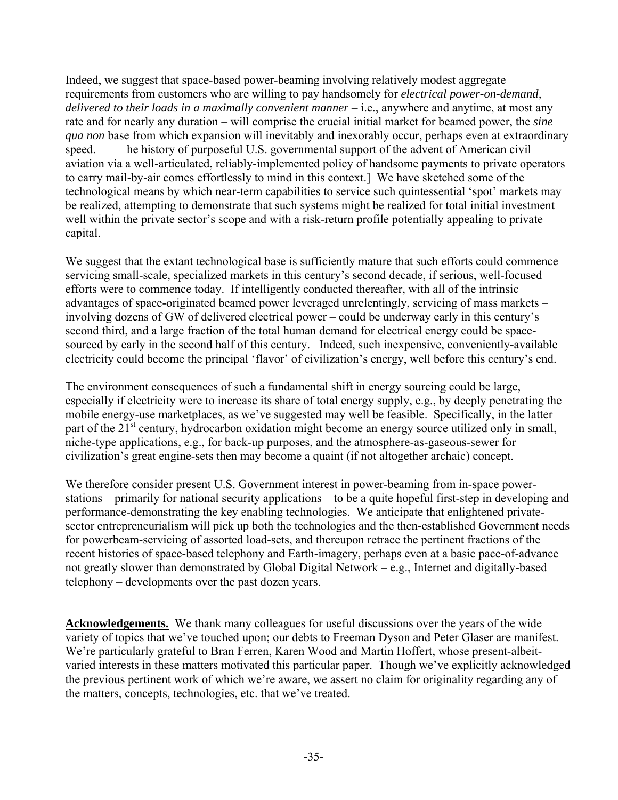Indeed, we suggest that space-based power-beaming involving relatively modest aggregate requirements from customers who are willing to pay handsomely for *electrical power-on-demand, delivered to their loads in a maximally convenient manner* – i.e., anywhere and anytime, at most any rate and for nearly any duration – will comprise the crucial initial market for beamed power, the *sine qua non* base from which expansion will inevitably and inexorably occur, perhaps even at extraordinary speed. he history of purposeful U.S. governmental support of the advent of American civil aviation via a well-articulated, reliably-implemented policy of handsome payments to private operators to carry mail-by-air comes effortlessly to mind in this context.] We have sketched some of the technological means by which near-term capabilities to service such quintessential 'spot' markets may be realized, attempting to demonstrate that such systems might be realized for total initial investment well within the private sector's scope and with a risk-return profile potentially appealing to private capital.

We suggest that the extant technological base is sufficiently mature that such efforts could commence servicing small-scale, specialized markets in this century's second decade, if serious, well-focused efforts were to commence today. If intelligently conducted thereafter, with all of the intrinsic advantages of space-originated beamed power leveraged unrelentingly, servicing of mass markets – involving dozens of GW of delivered electrical power – could be underway early in this century's second third, and a large fraction of the total human demand for electrical energy could be spacesourced by early in the second half of this century. Indeed, such inexpensive, conveniently-available electricity could become the principal 'flavor' of civilization's energy, well before this century's end.

The environment consequences of such a fundamental shift in energy sourcing could be large, especially if electricity were to increase its share of total energy supply, e.g., by deeply penetrating the mobile energy-use marketplaces, as we've suggested may well be feasible. Specifically, in the latter part of the 21<sup>st</sup> century, hydrocarbon oxidation might become an energy source utilized only in small, niche-type applications, e.g., for back-up purposes, and the atmosphere-as-gaseous-sewer for civilization's great engine-sets then may become a quaint (if not altogether archaic) concept.

We therefore consider present U.S. Government interest in power-beaming from in-space powerstations – primarily for national security applications – to be a quite hopeful first-step in developing and performance-demonstrating the key enabling technologies. We anticipate that enlightened privatesector entrepreneurialism will pick up both the technologies and the then-established Government needs for powerbeam-servicing of assorted load-sets, and thereupon retrace the pertinent fractions of the recent histories of space-based telephony and Earth-imagery, perhaps even at a basic pace-of-advance not greatly slower than demonstrated by Global Digital Network – e.g., Internet and digitally-based telephony – developments over the past dozen years.

**Acknowledgements.** We thank many colleagues for useful discussions over the years of the wide variety of topics that we've touched upon; our debts to Freeman Dyson and Peter Glaser are manifest. We're particularly grateful to Bran Ferren, Karen Wood and Martin Hoffert, whose present-albeitvaried interests in these matters motivated this particular paper. Though we've explicitly acknowledged the previous pertinent work of which we're aware, we assert no claim for originality regarding any of the matters, concepts, technologies, etc. that we've treated.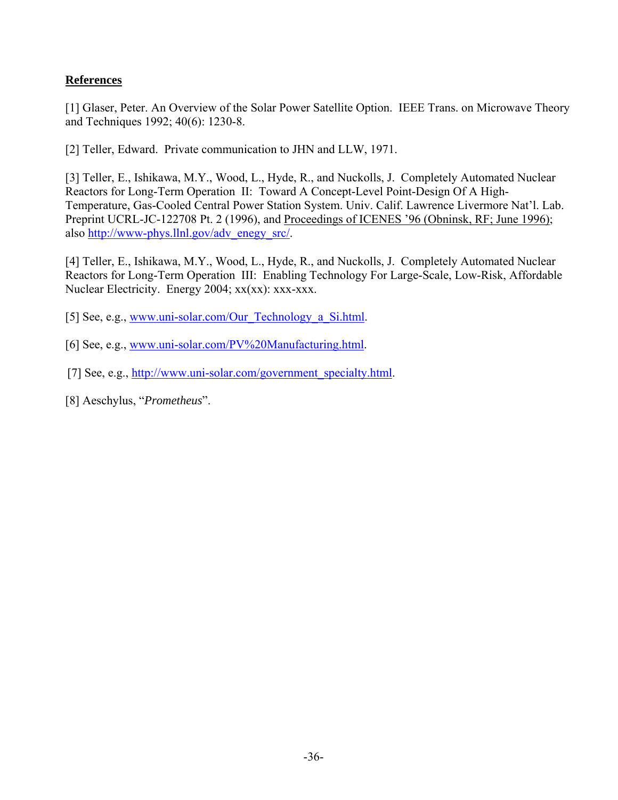## **References**

[1] Glaser, Peter. An Overview of the Solar Power Satellite Option. IEEE Trans. on Microwave Theory and Techniques 1992; 40(6): 1230-8.

[2] Teller, Edward. Private communication to JHN and LLW, 1971.

[3] Teller, E., Ishikawa, M.Y., Wood, L., Hyde, R., and Nuckolls, J. Completely Automated Nuclear Reactors for Long-Term Operation II: Toward A Concept-Level Point-Design Of A High-Temperature, Gas-Cooled Central Power Station System. Univ. Calif. Lawrence Livermore Nat'l. Lab. Preprint UCRL-JC-122708 Pt. 2 (1996), and Proceedings of ICENES '96 (Obninsk, RF; June 1996); also [http://www-phys.llnl.gov/adv\\_enegy\\_src/](http://www-phys.lllnl.gov/adv_enegy_src/).

[4] Teller, E., Ishikawa, M.Y., Wood, L., Hyde, R., and Nuckolls, J. Completely Automated Nuclear Reactors for Long-Term Operation III: Enabling Technology For Large-Scale, Low-Risk, Affordable Nuclear Electricity. Energy 2004; xx(xx): xxx-xxx.

- [5] See, e.g., [www.uni-solar.com/Our\\_Technology\\_a\\_Si.html](http://www.uni-solar.com/Our_Technology_a_Si.html).
- [6] See, e.g., [www.uni-solar.com/PV%20Manufacturing.html.](http://www.uni-solar.com/PV%20Manufacturing.html)
- [7] See, e.g., [http://www.uni-solar.com/government\\_specialty.html.](http://www.uni-solar.com/government_specialty.html)
- [8] Aeschylus, "*Prometheus*".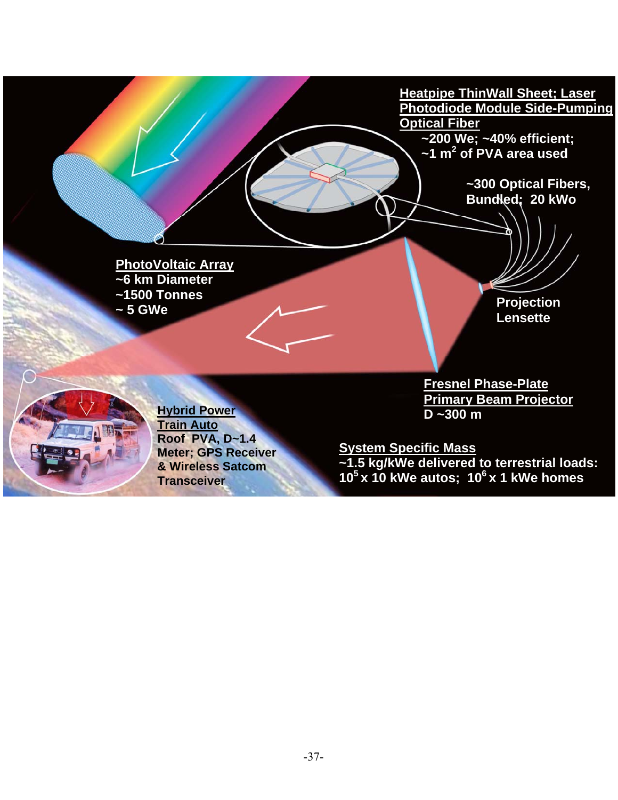

-37-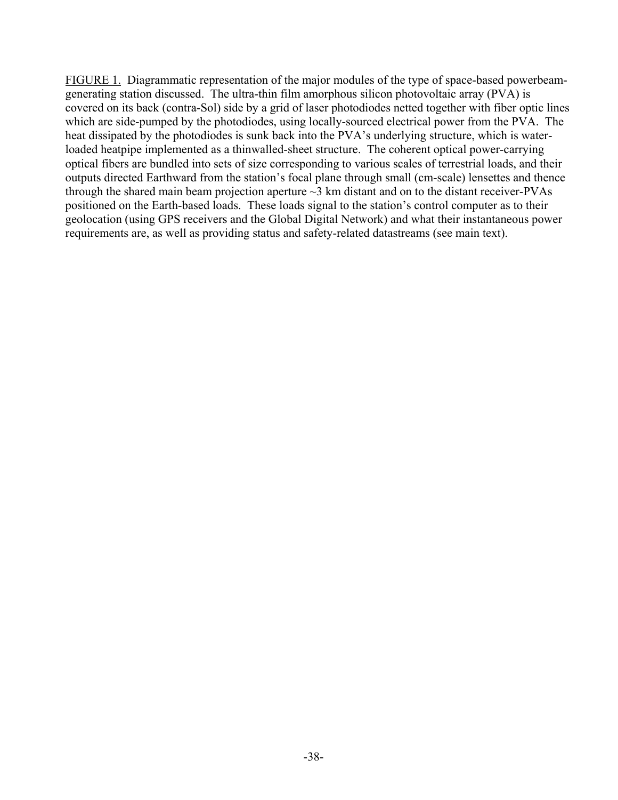FIGURE 1. Diagrammatic representation of the major modules of the type of space-based powerbeamgenerating station discussed. The ultra-thin film amorphous silicon photovoltaic array (PVA) is covered on its back (contra-Sol) side by a grid of laser photodiodes netted together with fiber optic lines which are side-pumped by the photodiodes, using locally-sourced electrical power from the PVA. The heat dissipated by the photodiodes is sunk back into the PVA's underlying structure, which is waterloaded heatpipe implemented as a thinwalled-sheet structure. The coherent optical power-carrying optical fibers are bundled into sets of size corresponding to various scales of terrestrial loads, and their outputs directed Earthward from the station's focal plane through small (cm-scale) lensettes and thence through the shared main beam projection aperture  $\sim$ 3 km distant and on to the distant receiver-PVAs positioned on the Earth-based loads. These loads signal to the station's control computer as to their geolocation (using GPS receivers and the Global Digital Network) and what their instantaneous power requirements are, as well as providing status and safety-related datastreams (see main text).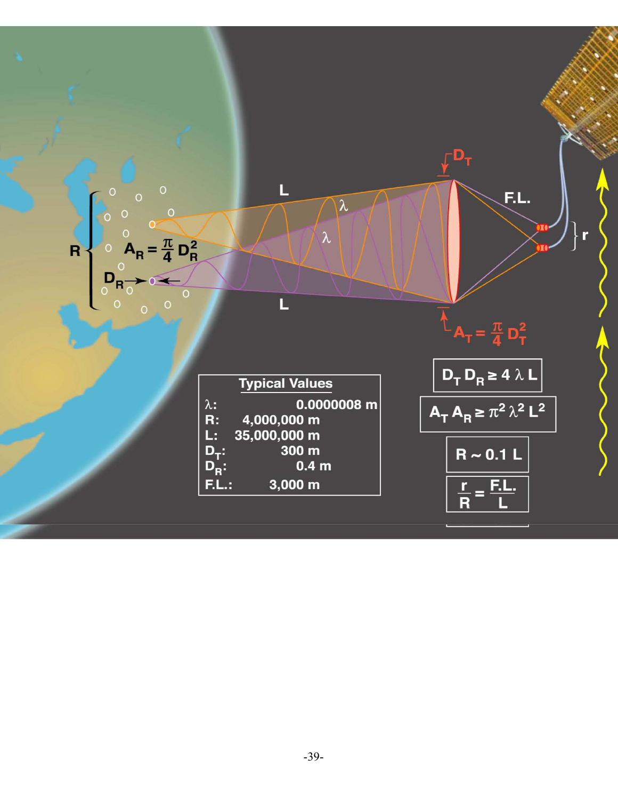